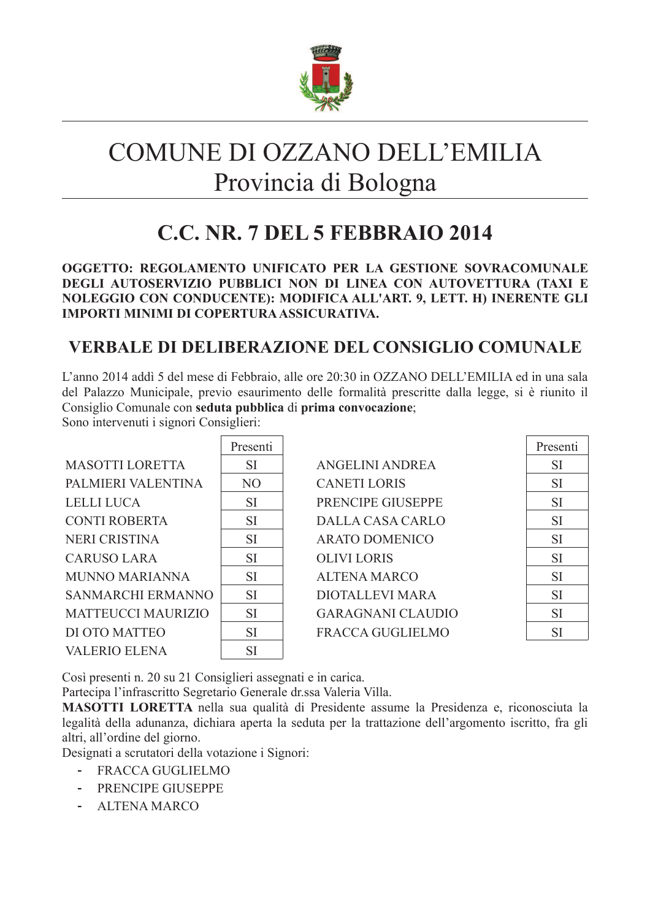

# COMUNE DI OZZANO DELL'EMILIA Provincia di Bologna

# C.C. NR. 7 DEL 5 FEBBRAIO 2014

OGGETTO: REGOLAMENTO UNIFICATO PER LA GESTIONE SOVRACOMUNALE DEGLI AUTOSERVIZIO PUBBLICI NON DI LINEA CON AUTOVETTURA (TAXI E NOLEGGIO CON CONDUCENTE): MODIFICA ALL'ART. 9, LETT. H) INERENTE GLI **IMPORTI MINIMI DI COPERTURA ASSICURATIVA.** 

# **VERBALE DI DELIBERAZIONE DEL CONSIGLIO COMUNALE**

L'anno 2014 addì 5 del mese di Febbraio, alle ore 20:30 in OZZANO DELL'EMILIA ed in una sala del Palazzo Municipale, previo esaurimento delle formalità prescritte dalla legge, si è riunito il Consiglio Comunale con seduta pubblica di prima convocazione;

Sono intervenuti i signori Consiglieri:

|                           | Presenti       |                          | Presenti  |
|---------------------------|----------------|--------------------------|-----------|
| <b>MASOTTI LORETTA</b>    | <b>SI</b>      | <b>ANGELINI ANDREA</b>   | <b>SI</b> |
| PALMIERI VALENTINA        | N <sub>O</sub> | <b>CANETI LORIS</b>      | <b>SI</b> |
| <b>LELLI LUCA</b>         | <b>SI</b>      | PRENCIPE GIUSEPPE        | <b>SI</b> |
| <b>CONTI ROBERTA</b>      | <b>SI</b>      | <b>DALLA CASA CARLO</b>  | <b>SI</b> |
| <b>NERI CRISTINA</b>      | <b>SI</b>      | <b>ARATO DOMENICO</b>    | <b>SI</b> |
| <b>CARUSO LARA</b>        | <b>SI</b>      | <b>OLIVILORIS</b>        | <b>SI</b> |
| <b>MUNNO MARIANNA</b>     | <b>SI</b>      | <b>ALTENA MARCO</b>      | <b>SI</b> |
| <b>SANMARCHI ERMANNO</b>  | <b>SI</b>      | <b>DIOTALLEVI MARA</b>   | <b>SI</b> |
| <b>MATTEUCCI MAURIZIO</b> | <b>SI</b>      | <b>GARAGNANI CLAUDIO</b> | <b>SI</b> |
| DI OTO MATTEO             | <b>SI</b>      | <b>FRACCA GUGLIELMO</b>  | <b>SI</b> |
| <b>VALERIO ELENA</b>      | SI             |                          |           |

Così presenti n. 20 su 21 Consiglieri assegnati e in carica.

Partecipa l'infrascritto Segretario Generale dr.ssa Valeria Villa.

MASOTTI LORETTA nella sua qualità di Presidente assume la Presidenza e, riconosciuta la legalità della adunanza, dichiara aperta la seduta per la trattazione dell'argomento iscritto, fra gli altri, all'ordine del giorno.

Designati a scrutatori della votazione i Signori:

- FRACCA GUGLIELMO
- PRENCIPE GIUSEPPE
- **ALTENA MARCO**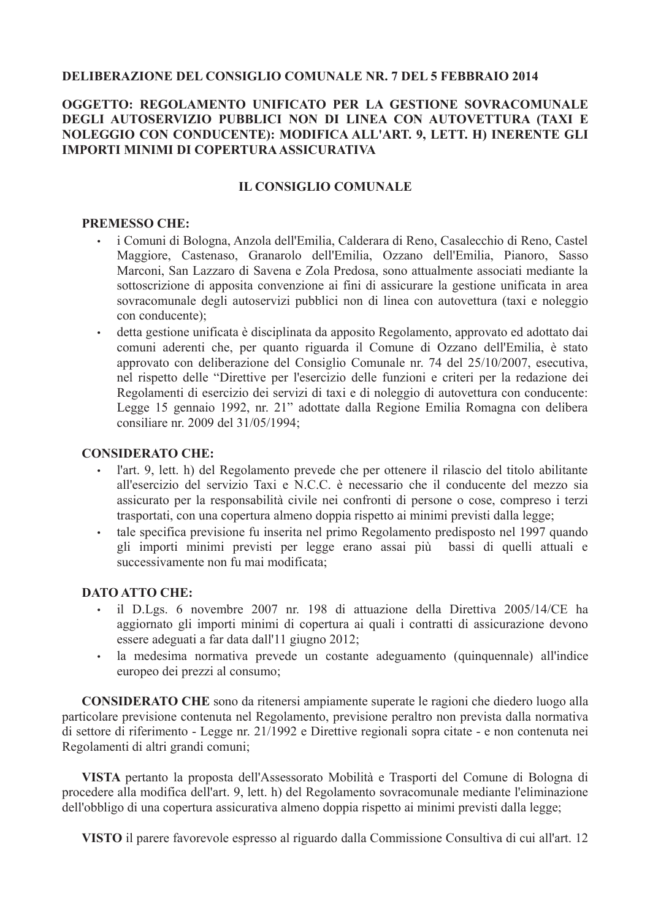#### **DELIBERAZIONE DEL CONSIGLIO COMUNALE NR. 7 DEL 5 FEBBRAIO 2014**

#### OGGETTO: REGOLAMENTO UNIFICATO PER LA GESTIONE SOVRACOMUNALE DEGLI AUTOSERVIZIO PUBBLICI NON DI LINEA CON AUTOVETTURA (TAXI E NOLEGGIO CON CONDUCENTE): MODIFICA ALL'ART. 9, LETT. H) INERENTE GLI **IMPORTI MINIMI DI COPERTURA ASSICURATIVA**

#### **IL CONSIGLIO COMUNALE**

#### **PREMESSO CHE:**

- i Comuni di Bologna, Anzola dell'Emilia, Calderara di Reno, Casalecchio di Reno, Castel  $\ddot{\phantom{a}}$ Maggiore, Castenaso, Granarolo dell'Emilia, Ozzano dell'Emilia, Pianoro, Sasso Marconi, San Lazzaro di Savena e Zola Predosa, sono attualmente associati mediante la sottoscrizione di apposita convenzione ai fini di assicurare la gestione unificata in area sovracomunale degli autoservizi pubblici non di linea con autovettura (taxi e noleggio con conducente);
- detta gestione unificata è disciplinata da apposito Regolamento, approvato ed adottato dai  $\bullet$ comuni aderenti che, per quanto riguarda il Comune di Ozzano dell'Emilia, è stato approvato con deliberazione del Consiglio Comunale nr. 74 del 25/10/2007, esecutiva, nel rispetto delle "Direttive per l'esercizio delle funzioni e criteri per la redazione dei Regolamenti di esercizio dei servizi di taxi e di noleggio di autovettura con conducente: Legge 15 gennaio 1992, nr. 21" adottate dalla Regione Emilia Romagna con delibera consiliare nr. 2009 del 31/05/1994;

#### **CONSIDERATO CHE:**

- l'art. 9, lett. h) del Regolamento prevede che per ottenere il rilascio del titolo abilitante  $\bullet$ all'esercizio del servizio Taxi e N.C.C. è necessario che il conducente del mezzo sia assicurato per la responsabilità civile nei confronti di persone o cose, compreso i terzi trasportati, con una copertura almeno doppia rispetto ai minimi previsti dalla legge;
- $\ddot{\phantom{a}}$ tale specifica previsione fu inserita nel primo Regolamento predisposto nel 1997 quando gli importi minimi previsti per legge erano assai più bassi di quelli attuali e successivamente non fu mai modificata:

#### **DATO ATTO CHE:**

- il D.Lgs. 6 novembre 2007 nr. 198 di attuazione della Direttiva 2005/14/CE ha  $\bullet$ aggiornato gli importi minimi di copertura ai quali i contratti di assicurazione devono essere adeguati a far data dall'11 giugno 2012;
- $\bullet$ la medesima normativa prevede un costante adeguamento (quinquennale) all'indice europeo dei prezzi al consumo;

**CONSIDERATO CHE** sono da ritenersi ampiamente superate le ragioni che diedero luogo alla particolare previsione contenuta nel Regolamento, previsione peraltro non prevista dalla normativa di settore di riferimento - Legge nr. 21/1992 e Direttive regionali sopra citate - e non contenuta nei Regolamenti di altri grandi comuni;

VISTA pertanto la proposta dell'Assessorato Mobilità e Trasporti del Comune di Bologna di procedere alla modifica dell'art. 9, lett. h) del Regolamento sovracomunale mediante l'eliminazione dell'obbligo di una copertura assicurativa almeno doppia rispetto ai minimi previsti dalla legge;

VISTO il parere favorevole espresso al riguardo dalla Commissione Consultiva di cui all'art. 12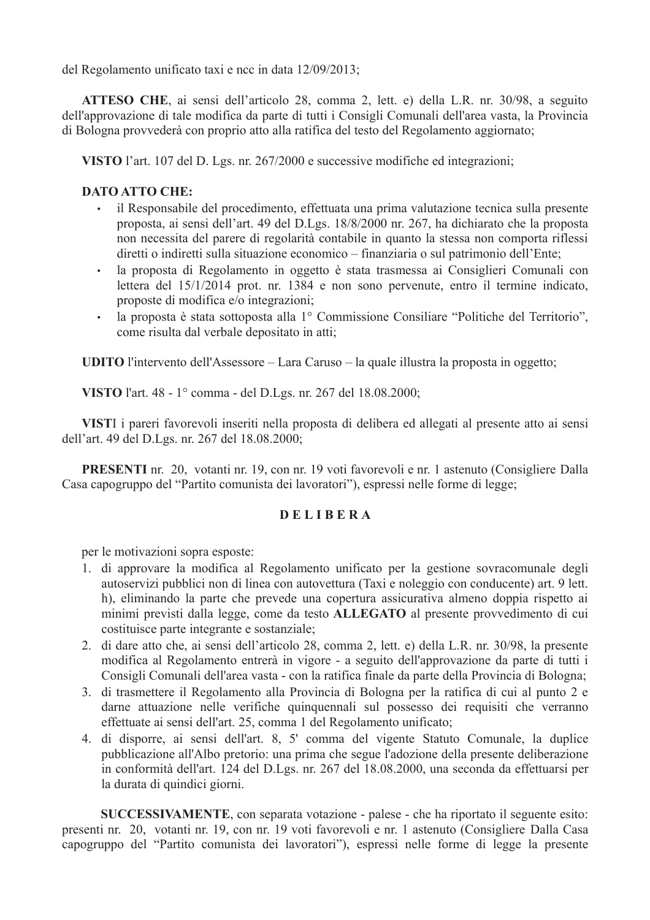del Regolamento unificato taxi e ncc in data 12/09/2013;

**ATTESO CHE**, ai sensi dell'articolo 28, comma 2, lett. e) della L.R. nr. 30/98, a seguito dell'approvazione di tale modifica da parte di tutti i Consigli Comunali dell'area vasta, la Provincia di Bologna provvederà con proprio atto alla ratifica del testo del Regolamento aggiornato;

VISTO l'art. 107 del D. Lgs. nr. 267/2000 e successive modifiche ed integrazioni;

## **DATO ATTO CHE:**

- il Responsabile del procedimento, effettuata una prima valutazione tecnica sulla presente proposta, ai sensi dell'art. 49 del D.Lgs. 18/8/2000 nr. 267, ha dichiarato che la proposta non necessita del parere di regolarità contabile in quanto la stessa non comporta riflessi diretti o indiretti sulla situazione economico – finanziaria o sul patrimonio dell'Ente;
- la proposta di Regolamento in oggetto è stata trasmessa ai Consiglieri Comunali con  $\bullet$ lettera del 15/1/2014 prot. nr. 1384 e non sono pervenute, entro il termine indicato. proposte di modifica e/o integrazioni;
- la proposta è stata sottoposta alla 1<sup>°</sup> Commissione Consiliare "Politiche del Territorio".  $\bullet$ come risulta dal verbale depositato in atti;

UDITO l'intervento dell'Assessore – Lara Caruso – la quale illustra la proposta in oggetto;

VISTO l'art. 48 - 1° comma - del D.Lgs. nr. 267 del 18.08.2000;

VISTI i pareri favorevoli inseriti nella proposta di delibera ed allegati al presente atto ai sensi dell'art. 49 del D.Lgs. nr. 267 del 18.08.2000;

**PRESENTI** nr. 20, votanti nr. 19, con nr. 19 voti favorevoli e nr. 1 astenuto (Consigliere Dalla Casa capogruppo del "Partito comunista dei lavoratori"), espressi nelle forme di legge;

### **DELIBERA**

per le motivazioni sopra esposte:

- 1. di approvare la modifica al Regolamento unificato per la gestione sovracomunale degli autoservizi pubblici non di linea con autovettura (Taxi e noleggio con conducente) art. 9 lett. h), eliminando la parte che prevede una copertura assicurativa almeno doppia rispetto ai minimi previsti dalla legge, come da testo ALLEGATO al presente provvedimento di cui costituisce parte integrante e sostanziale;
- 2. di dare atto che, ai sensi dell'articolo 28, comma 2, lett. e) della L.R. nr. 30/98, la presente modifica al Regolamento entrerà in vigore - a seguito dell'approvazione da parte di tutti i Consigli Comunali dell'area vasta - con la ratifica finale da parte della Provincia di Bologna;
- 3. di trasmettere il Regolamento alla Provincia di Bologna per la ratifica di cui al punto 2 e darne attuazione nelle verifiche quinquennali sul possesso dei requisiti che verranno effettuate ai sensi dell'art. 25, comma 1 del Regolamento unificato;
- 4. di disporre, ai sensi dell'art. 8, 5' comma del vigente Statuto Comunale, la duplice pubblicazione all'Albo pretorio: una prima che segue l'adozione della presente deliberazione in conformità dell'art. 124 del D.Lgs. nr. 267 del 18.08.2000, una seconda da effettuarsi per la durata di quindici giorni.

SUCCESSIVAMENTE, con separata votazione - palese - che ha riportato il seguente esito: presenti nr. 20, votanti nr. 19, con nr. 19 voti favorevoli e nr. 1 astenuto (Consigliere Dalla Casa capogruppo del "Partito comunista dei lavoratori"), espressi nelle forme di legge la presente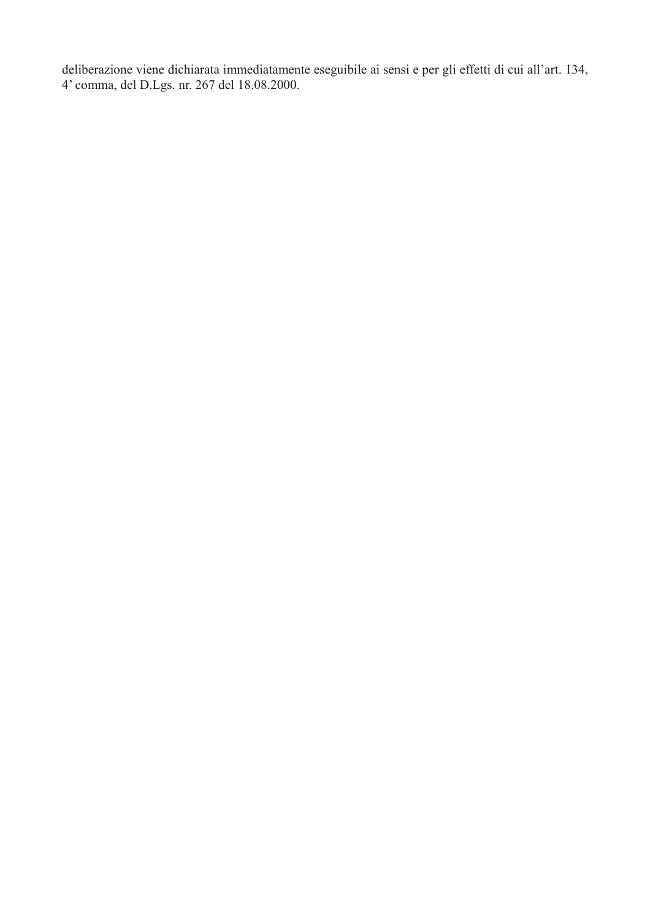deliberazione viene dichiarata immediatamente eseguibile ai sensi e per gli effetti di cui all'art. 134, 4' comma, del D.Lgs. nr. 267 del 18.08.2000.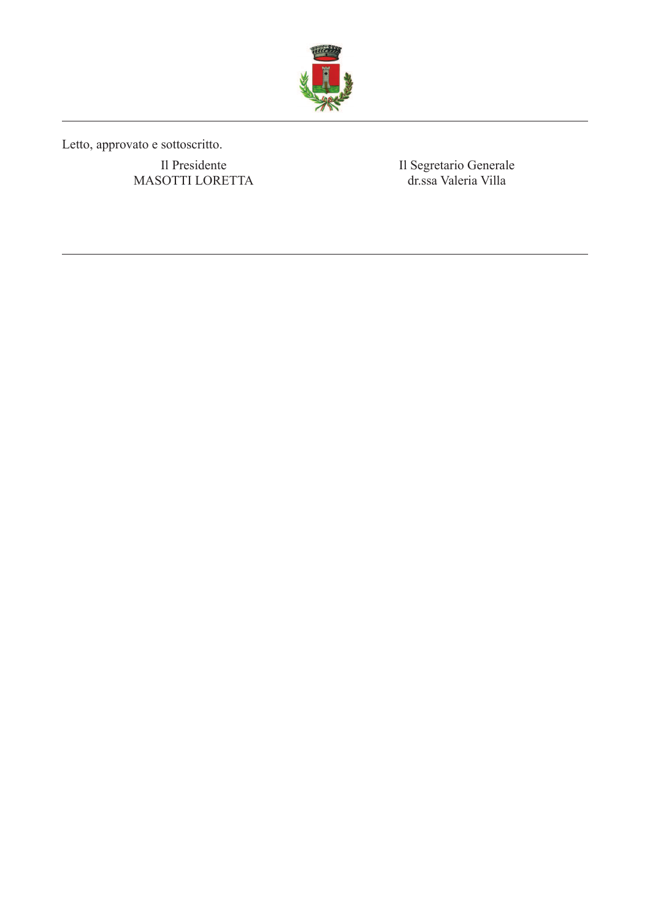

Letto, approvato e sottoscritto.

Il Presidente MASOTTI LORETTA Il Segretario Generale<br>dr.ssa Valeria Villa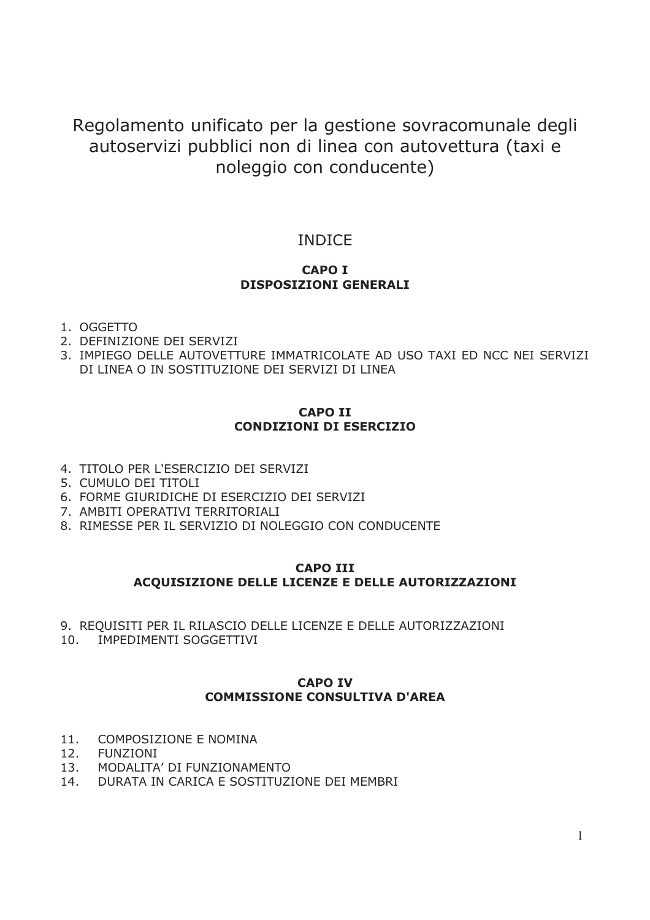Regolamento unificato per la gestione sovracomunale degli autoservizi pubblici non di linea con autovettura (taxi e noleggio con conducente)

# **INDICE**

### **CAPO I DISPOSIZIONI GENERALI**

- 1. OGGETTO
- 2. DEFINIZIONE DEI SERVIZI
- 3. IMPIEGO DELLE AUTOVETTURE IMMATRICOLATE AD USO TAXI ED NCC NEI SERVIZI DI LINEA O IN SOSTITUZIONE DEI SERVIZI DI LINEA

# **CAPO TT CONDIZIONI DI ESERCIZIO**

- 4. TITOLO PER L'ESERCIZIO DEI SERVIZI
- 5. CUMULO DEI TITOLI
- 6. FORME GIURIDICHE DI ESERCIZIO DEI SERVIZI
- 7. AMBITI OPERATIVI TERRITORIALI
- 8. RIMESSE PER IL SERVIZIO DI NOLEGGIO CON CONDUCENTE

#### **CAPO III** ACQUISIZIONE DELLE LICENZE E DELLE AUTORIZZAZIONI

- 9. REQUISITI PER IL RILASCIO DELLE LICENZE E DELLE AUTORIZZAZIONI
- $10.$ **IMPEDIMENTI SOGGETTIVI**

#### **CAPO IV COMMISSIONE CONSULTIVA D'AREA**

- 11. COMPOSIZIONE E NOMINA
- 12. **FUNZIONI**
- 13. MODALITA' DI FUNZIONAMENTO
- 14. DURATA IN CARICA E SOSTITUZIONE DEI MEMBRI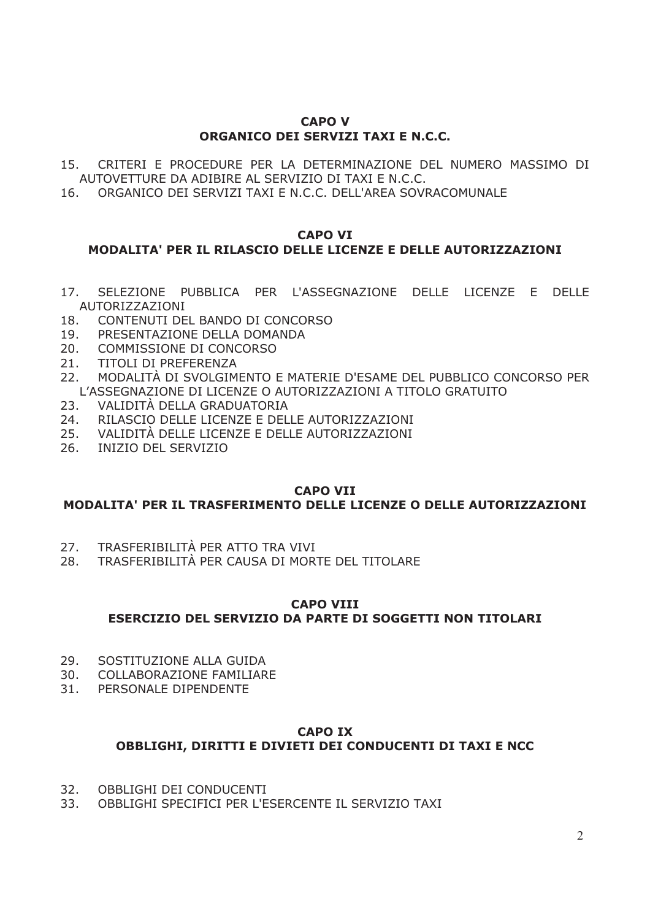#### **CAPO V** ORGANICO DEI SERVIZI TAXI E N.C.C.

- 15. CRITERI E PROCEDURE PER LA DETERMINAZIONE DEL NUMERO MASSIMO DI AUTOVETTURE DA ADIBIRE AL SERVIZIO DI TAXI E N.C.C.
- 16. ORGANICO DEI SERVIZI TAXI E N.C.C. DELL'AREA SOVRACOMUNALE

#### **CAPO VI**

# MODALITA' PER IL RILASCIO DELLE LICENZE E DELLE AUTORIZZAZIONI

- 17. SELEZIONE PUBBLICA PER L'ASSEGNAZIONE DELLE LICENZE E DELLE **AUTORIZZAZIONI**
- 18. CONTENUTI DEL BANDO DI CONCORSO
- PRESENTAZIONE DELLA DOMANDA 19.
- $20.$ COMMISSIONE DI CONCORSO
- $21.$ **TITOLI DI PREFERENZA**
- $22.$ MODALITÀ DI SVOLGIMENTO E MATERIE D'ESAME DEL PUBBLICO CONCORSO PER L'ASSEGNAZIONE DI LICENZE O AUTORIZZAZIONI A TITOLO GRATUITO
- 23. VALIDITÀ DELLA GRADUATORIA
- 24. RILASCIO DELLE LICENZE E DELLE AUTORIZZAZIONI
- 25. VALIDITÀ DELLE LICENZE E DELLE AUTORIZZAZIONI
- 26. INIZIO DEL SERVIZIO

#### **CAPO VII**

### MODALITA' PER IL TRASFERIMENTO DELLE LICENZE O DELLE AUTORIZZAZIONI

- TRASFERIBILITÀ PER ATTO TRA VIVI  $27.$
- 28. TRASFERIBILITÀ PER CAUSA DI MORTE DEL TITOLARE

### **CAPO VIII ESERCIZIO DEL SERVIZIO DA PARTE DI SOGGETTI NON TITOLARI**

- 29. SOSTITUZIONE ALLA GUIDA
- $30.$ COLLABORAZIONE FAMILIARE
- $31.$ PERSONALE DIPENDENTE

#### **CAPO IX** OBBLIGHI, DIRITTI E DIVIETI DEI CONDUCENTI DI TAXI E NCC

- $32.$ OBBLIGHI DEI CONDUCENTI
- 33. OBBLIGHI SPECIFICI PER L'ESERCENTE IL SERVIZIO TAXI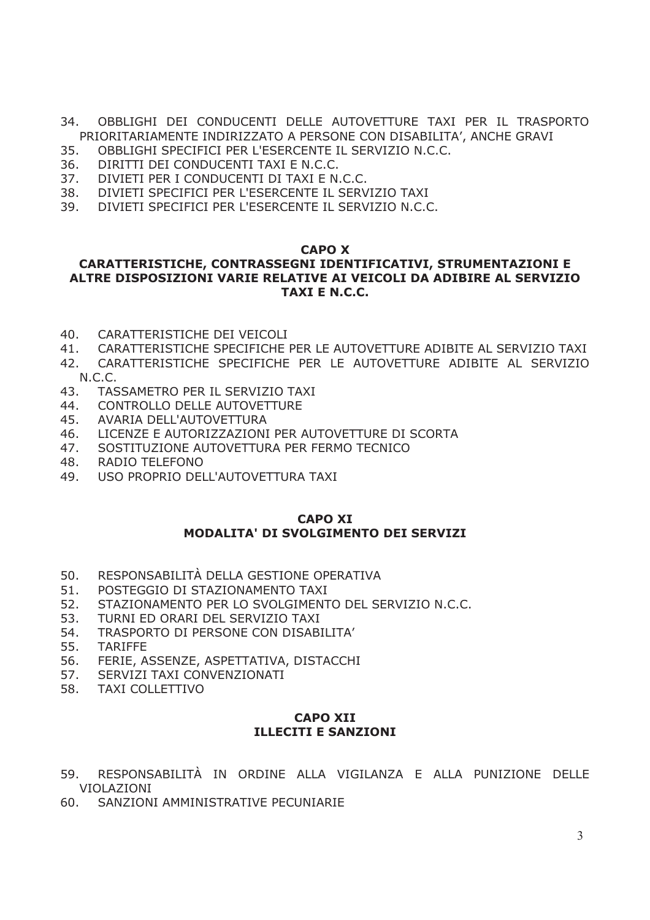- 34. OBBLIGHI DEI CONDUCENTI DELLE AUTOVETTURE TAXI PER IL TRASPORTO PRIORITARIAMENTE INDIRIZZATO A PERSONE CON DISABILITA', ANCHE GRAVI
- 35. OBBLIGHI SPECIFICI PER L'ESERCENTE IL SERVIZIO N.C.C.
- $36.$ DIRITTI DEI CONDUCENTI TAXI E N.C.C.
- $37.$ DIVIETI PER I CONDUCENTI DI TAXI E N.C.C.
- DIVIETI SPECIFICI PER L'ESERCENTE IL SERVIZIO TAXI 38.
- 39. DIVIETI SPECIFICI PER L'ESERCENTE IL SERVIZIO N.C.C.

#### **CAPO X**

## CARATTERISTICHE, CONTRASSEGNI IDENTIFICATIVI, STRUMENTAZIONI E ALTRE DISPOSIZIONI VARIE RELATIVE AI VEICOLI DA ADIBIRE AL SERVIZIO TAXI E N.C.C.

- $40.$ CARATTERISTICHE DEI VEICOLI
- CARATTERISTICHE SPECIFICHE PER LE AUTOVETTURE ADIBITE AL SERVIZIO TAXI  $41.$
- 42. CARATTERISTICHE SPECIFICHE PER LE AUTOVETTURE ADIBITE AL SERVIZIO  $N.C.C.$
- 43. TASSAMETRO PER IL SERVIZIO TAXI
- 44 CONTROLLO DELLE AUTOVETTURE
- 45. AVARIA DELL'AUTOVETTURA
- 46. LICENZE E AUTORIZZAZIONI PER AUTOVETTURE DI SCORTA
- 47. SOSTITUZIONE AUTOVETTURA PER FERMO TECNICO
- 48. RADIO TELEFONO
- 49. USO PROPRIO DELL'AUTOVETTURA TAXI

#### **CAPO XI** MODALITA' DI SVOLGIMENTO DEI SERVIZI

- RESPONSABILITÀ DELLA GESTIONE OPERATIVA 50.
- 51. POSTEGGIO DI STAZIONAMENTO TAXI
- 52. STAZIONAMENTO PER LO SVOLGIMENTO DEL SERVIZIO N.C.C.
- 53. TURNI ED ORARI DEL SERVIZIO TAXI
- 54. TRASPORTO DI PERSONE CON DISABILITA'
- 55. TARIFFE
- 56. FERIE, ASSENZE, ASPETTATIVA, DISTACCHI
- 57. SERVIZI TAXI CONVENZIONATI
- 58. **TAXI COLLETTIVO**

### **CAPO XII ILLECITI E SANZIONI**

- RESPONSABILITÀ IN ORDINE ALLA VIGILANZA E ALLA PUNIZIONE DELLE 59 VIOLAZIONI
- 60. SANZIONI AMMINISTRATIVE PECUNIARIE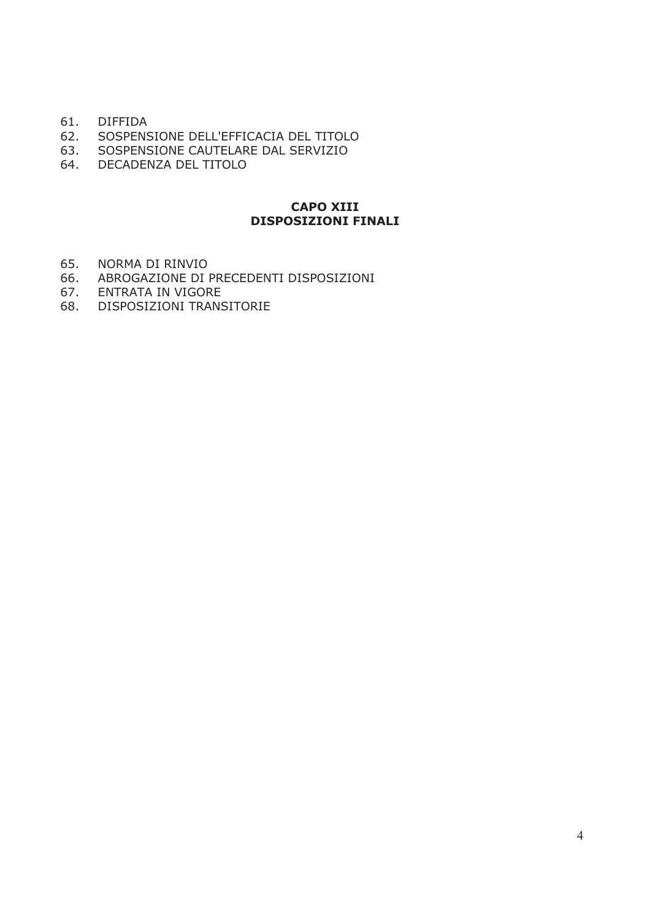- 61. DIFFIDA
- 62. SOSPENSIONE DELL'EFFICACIA DEL TITOLO
- 63. SOSPENSIONE CAUTELARE DAL SERVIZIO
- 64. DECADENZA DEL TITOLO

#### **CAPO XIII DISPOSIZIONI FINALI**

- 65. NORMA DI RINVIO
- 66. ABROGAZIONE DI PRECEDENTI DISPOSIZIONI
- 67. ENTRATA IN VIGORE
- 68. DISPOSIZIONI TRANSITORIE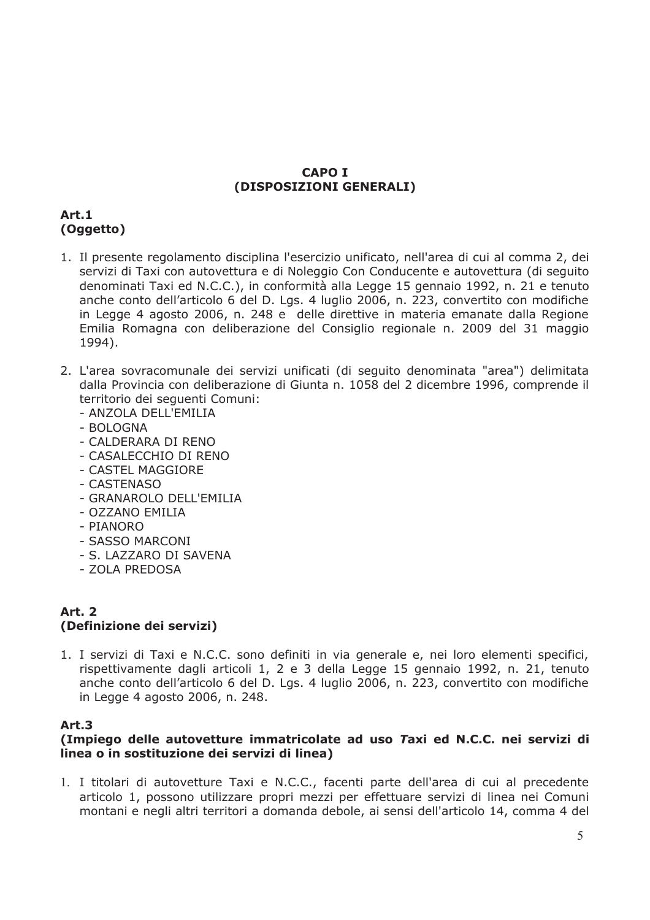#### **CAPO I** (DISPOSIZIONI GENERALI)

# Art.1 (Oggetto)

- 1. Il presente regolamento disciplina l'esercizio unificato, nell'area di cui al comma 2, dei servizi di Taxi con autovettura e di Noleggio Con Conducente e autovettura (di seguito denominati Taxi ed N.C.C.), in conformità alla Legge 15 gennaio 1992, n. 21 e tenuto anche conto dell'articolo 6 del D. Lgs. 4 luglio 2006, n. 223, convertito con modifiche in Legge 4 agosto 2006, n. 248 e delle direttive in materia emanate dalla Regione Emilia Romagna con deliberazione del Consiglio regionale n. 2009 del 31 maggio 1994).
- 2. L'area sovracomunale dei servizi unificati (di seguito denominata "area") delimitata dalla Provincia con deliberazione di Giunta n. 1058 del 2 dicembre 1996, comprende il territorio dei seguenti Comuni:
	- ANZOLA DELL'EMILIA
	- BOLOGNA
	- CALDERARA DI RENO
	- CASALECCHIO DI RENO
	- CASTEL MAGGIORE
	- CASTENASO
	- GRANAROLO DELL'EMILIA
	- 077ANO FMILIA
	- PIANORO
	- SASSO MARCONI
	- S. LAZZARO DI SAVENA
	- ZOLA PREDOSA

# **Art. 2** (Definizione dei servizi)

1. I servizi di Taxi e N.C.C. sono definiti in via generale e, nei loro elementi specifici, rispettivamente dagli articoli 1, 2 e 3 della Legge 15 gennaio 1992, n. 21, tenuto anche conto dell'articolo 6 del D. Lgs. 4 luglio 2006, n. 223, convertito con modifiche in Legge 4 agosto 2006, n. 248.

#### Art.3

#### (Impiego delle autovetture immatricolate ad uso Taxi ed N.C.C. nei servizi di linea o in sostituzione dei servizi di linea)

1. I titolari di autovetture Taxi e N.C.C., facenti parte dell'area di cui al precedente articolo 1, possono utilizzare propri mezzi per effettuare servizi di linea nei Comuni montani e negli altri territori a domanda debole, ai sensi dell'articolo 14, comma 4 del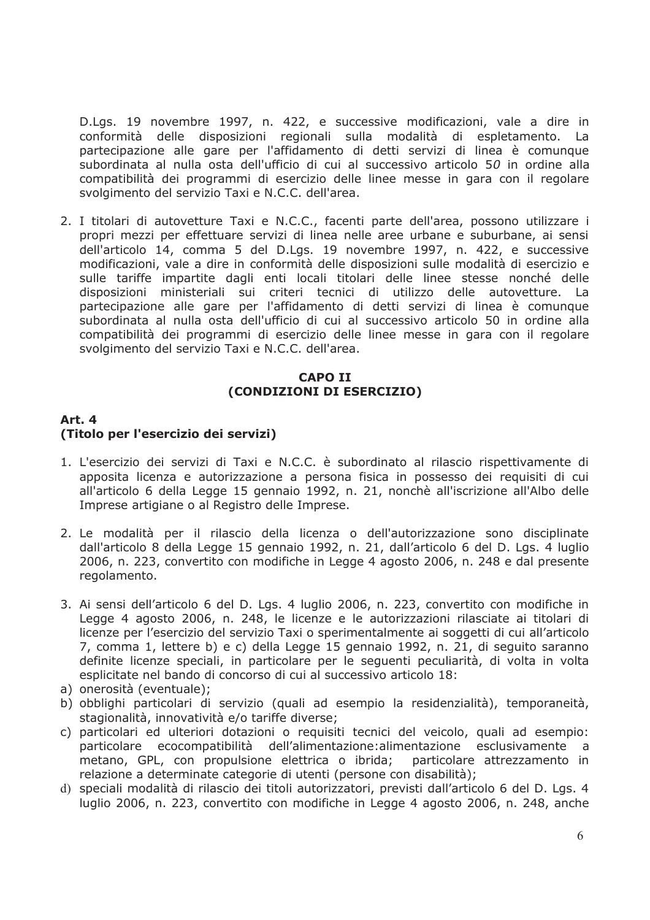D.Lgs. 19 novembre 1997, n. 422, e successive modificazioni, vale a dire in conformità delle disposizioni regionali sulla modalità di espletamento. La partecipazione alle gare per l'affidamento di detti servizi di linea è comunque subordinata al nulla osta dell'ufficio di cui al successivo articolo 50 in ordine alla compatibilità dei programmi di esercizio delle linee messe in gara con il regolare svolgimento del servizio Taxi e N.C.C. dell'area.

2. I titolari di autovetture Taxi e N.C.C., facenti parte dell'area, possono utilizzare i propri mezzi per effettuare servizi di linea nelle aree urbane e suburbane, ai sensi dell'articolo 14, comma 5 del D.Lgs. 19 novembre 1997, n. 422, e successive modificazioni, vale a dire in conformità delle disposizioni sulle modalità di esercizio e sulle tariffe impartite dagli enti locali titolari delle linee stesse nonché delle disposizioni ministeriali sui criteri tecnici di utilizzo delle autovetture.  $|a|$ partecipazione alle gare per l'affidamento di detti servizi di linea è comunque subordinata al nulla osta dell'ufficio di cui al successivo articolo 50 in ordine alla compatibilità dei programmi di esercizio delle linee messe in gara con il regolare svolgimento del servizio Taxi e N.C.C. dell'area.

### **CAPO II** (CONDIZIONI DI ESERCIZIO)

#### Art. 4 (Titolo per l'esercizio dei servizi)

- 1. L'esercizio dei servizi di Taxi e N.C.C. è subordinato al rilascio rispettivamente di apposita licenza e autorizzazione a persona fisica in possesso dei requisiti di cui all'articolo 6 della Legge 15 gennaio 1992, n. 21, nonchè all'iscrizione all'Albo delle Imprese artigiane o al Registro delle Imprese.
- 2. Le modalità per il rilascio della licenza o dell'autorizzazione sono disciplinate dall'articolo 8 della Legge 15 gennaio 1992, n. 21, dall'articolo 6 del D. Lgs. 4 luglio 2006, n. 223, convertito con modifiche in Legge 4 agosto 2006, n. 248 e dal presente regolamento.
- 3. Ai sensi dell'articolo 6 del D. Lgs. 4 luglio 2006, n. 223, convertito con modifiche in Legge 4 agosto 2006, n. 248, le licenze e le autorizzazioni rilasciate ai titolari di licenze per l'esercizio del servizio Taxi o sperimentalmente ai soggetti di cui all'articolo 7, comma 1, lettere b) e c) della Legge 15 gennaio 1992, n. 21, di seguito saranno definite licenze speciali, in particolare per le seguenti peculiarità, di volta in volta esplicitate nel bando di concorso di cui al successivo articolo 18:
- a) onerosità (eventuale);
- b) obblighi particolari di servizio (quali ad esempio la residenzialità), temporaneità, stagionalità, innovatività e/o tariffe diverse;
- c) particolari ed ulteriori dotazioni o requisiti tecnici del veicolo, quali ad esempio: particolare ecocompatibilità dell'alimentazione: alimentazione esclusivamente a metano, GPL, con propulsione elettrica o ibrida; particolare attrezzamento in relazione a determinate categorie di utenti (persone con disabilità);
- d) speciali modalità di rilascio dei titoli autorizzatori, previsti dall'articolo 6 del D. Lgs. 4 luglio 2006, n. 223, convertito con modifiche in Legge 4 agosto 2006, n. 248, anche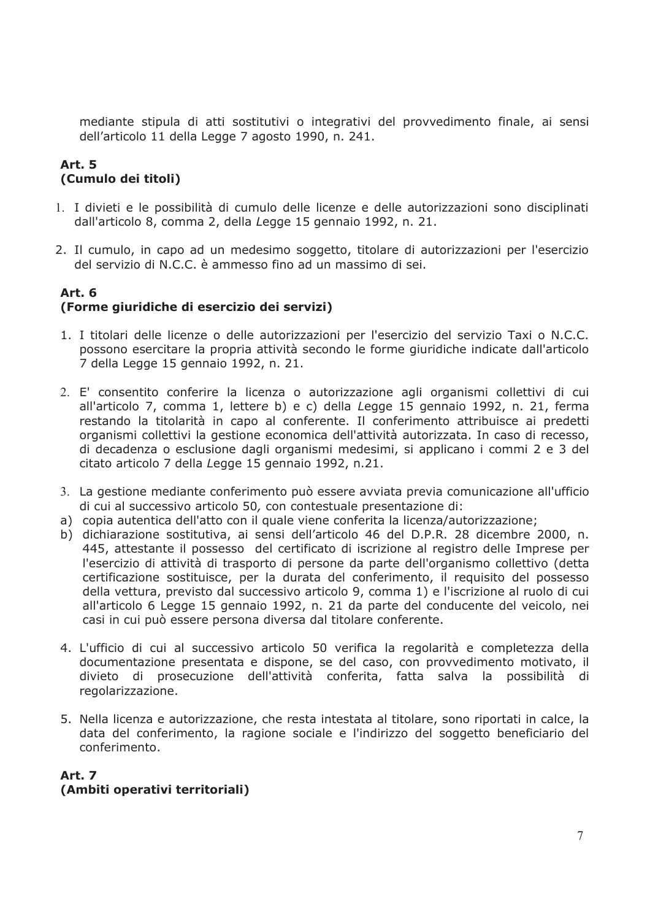mediante stipula di atti sostitutivi o integrativi del provvedimento finale, ai sensi dell'articolo 11 della Legge 7 agosto 1990, n. 241.

### **Art. 5** (Cumulo dei titoli)

- 1. I divieti e le possibilità di cumulo delle licenze e delle autorizzazioni sono disciplinati dall'articolo 8, comma 2, della Legge 15 gennaio 1992, n. 21.
- 2. Il cumulo, in capo ad un medesimo soggetto, titolare di autorizzazioni per l'esercizio del servizio di N.C.C. è ammesso fino ad un massimo di sei.

## Art. 6 (Forme giuridiche di esercizio dei servizi)

- 1. I titolari delle licenze o delle autorizzazioni per l'esercizio del servizio Taxi o N.C.C. possono esercitare la propria attività secondo le forme giuridiche indicate dall'articolo 7 della Legge 15 gennaio 1992, n. 21.
- 2. E' consentito conferire la licenza o autorizzazione agli organismi collettivi di cui all'articolo 7, comma 1, lettere b) e c) della Legge 15 gennaio 1992, n. 21, ferma restando la titolarità in capo al conferente. Il conferimento attribuisce ai predetti organismi collettivi la gestione economica dell'attività autorizzata. In caso di recesso, di decadenza o esclusione dagli organismi medesimi, si applicano i commi 2 e 3 del citato articolo 7 della Legge 15 gennaio 1992, n.21.
- 3. La gestione mediante conferimento può essere avviata previa comunicazione all'ufficio di cui al successivo articolo 50, con contestuale presentazione di:
- a) copia autentica dell'atto con il quale viene conferita la licenza/autorizzazione:
- b) dichiarazione sostitutiva, ai sensi dell'articolo 46 del D.P.R. 28 dicembre 2000, n. 445, attestante il possesso del certificato di iscrizione al registro delle Imprese per l'esercizio di attività di trasporto di persone da parte dell'organismo collettivo (detta certificazione sostituisce, per la durata del conferimento, il requisito del possesso della vettura, previsto dal successivo articolo 9, comma 1) e l'iscrizione al ruolo di cui all'articolo 6 Legge 15 gennaio 1992, n. 21 da parte del conducente del veicolo, nei casi in cui può essere persona diversa dal titolare conferente.
- 4. L'ufficio di cui al successivo articolo 50 verifica la regolarità e completezza della documentazione presentata e dispone, se del caso, con provvedimento motivato, il divieto di prosecuzione dell'attività conferita, fatta salva la possibilità di regolarizzazione.
- 5. Nella licenza e autorizzazione, che resta intestata al titolare, sono riportati in calce, la data del conferimento, la ragione sociale e l'indirizzo del soggetto beneficiario del conferimento.

### **Art. 7** (Ambiti operativi territoriali)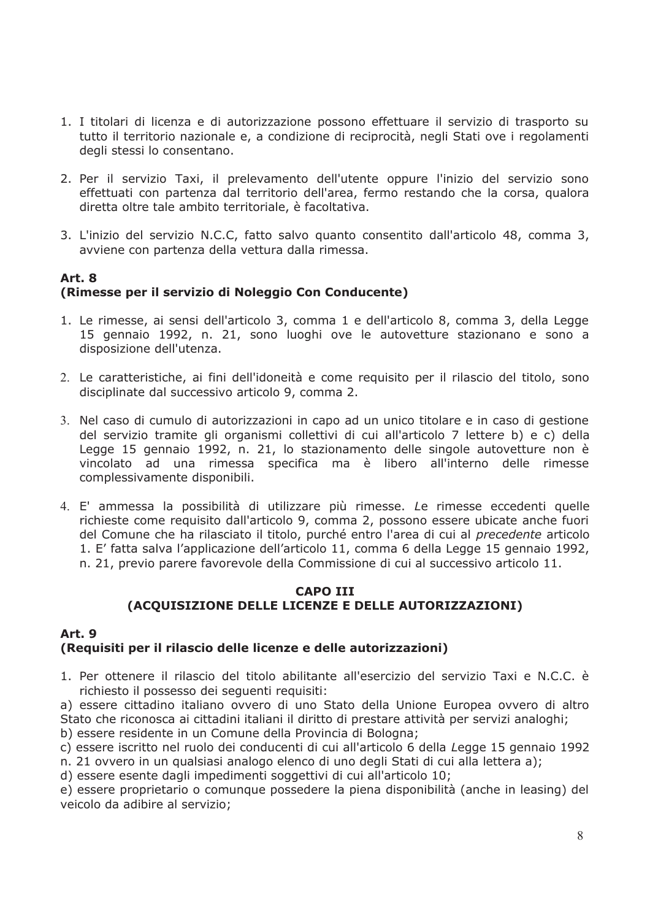- 1. I titolari di licenza e di autorizzazione possono effettuare il servizio di trasporto su tutto il territorio nazionale e, a condizione di reciprocità, negli Stati ove i regolamenti degli stessi lo consentano.
- 2. Per il servizio Taxi, il prelevamento dell'utente oppure l'inizio del servizio sono effettuati con partenza dal territorio dell'area, fermo restando che la corsa, qualora diretta oltre tale ambito territoriale, è facoltativa.
- 3. L'inizio del servizio N.C.C, fatto salvo quanto consentito dall'articolo 48, comma 3, avviene con partenza della vettura dalla rimessa.

### Art. 8 (Rimesse per il servizio di Noleggio Con Conducente)

- 1. Le rimesse, ai sensi dell'articolo 3, comma 1 e dell'articolo 8, comma 3, della Legge 15 gennaio 1992, n. 21, sono luoghi ove le autovetture stazionano e sono a disposizione dell'utenza.
- 2. Le caratteristiche, ai fini dell'idoneità e come requisito per il rilascio del titolo, sono disciplinate dal successivo articolo 9, comma 2.
- 3. Nel caso di cumulo di autorizzazioni in capo ad un unico titolare e in caso di gestione del servizio tramite gli organismi collettivi di cui all'articolo 7 lettere b) e c) della Legge 15 gennaio 1992, n. 21, lo stazionamento delle singole autovetture non è vincolato ad una rimessa specifica ma è libero all'interno delle rimesse complessivamente disponibili.
- 4. E' ammessa la possibilità di utilizzare più rimesse. Le rimesse eccedenti quelle richieste come requisito dall'articolo 9, comma 2, possono essere ubicate anche fuori del Comune che ha rilasciato il titolo, purché entro l'area di cui al precedente articolo 1. E' fatta salva l'applicazione dell'articolo 11, comma 6 della Legge 15 gennaio 1992, n. 21, previo parere favorevole della Commissione di cui al successivo articolo 11.

#### **CAPO III** (ACQUISIZIONE DELLE LICENZE E DELLE AUTORIZZAZIONI)

# Art. 9

# (Requisiti per il rilascio delle licenze e delle autorizzazioni)

- 1. Per ottenere il rilascio del titolo abilitante all'esercizio del servizio Taxi e N.C.C. è richiesto il possesso dei seguenti reguisiti:
- a) essere cittadino italiano ovvero di uno Stato della Unione Europea ovvero di altro Stato che riconosca ai cittadini italiani il diritto di prestare attività per servizi analoghi;
- b) essere residente in un Comune della Provincia di Bologna;
- c) essere iscritto nel ruolo dei conducenti di cui all'articolo 6 della Legge 15 gennaio 1992
- n. 21 ovvero in un qualsiasi analogo elenco di uno degli Stati di cui alla lettera a);
- d) essere esente dagli impedimenti soggettivi di cui all'articolo 10;

e) essere proprietario o comunque possedere la piena disponibilità (anche in leasing) del veicolo da adibire al servizio;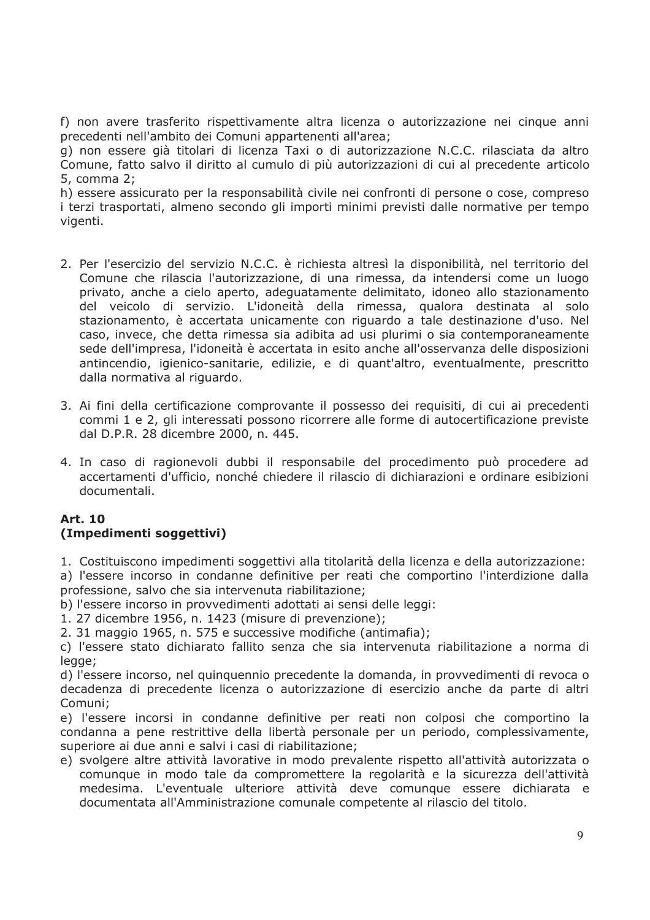f) non avere trasferito rispettivamente altra licenza o autorizzazione nei cinque anni precedenti nell'ambito dei Comuni appartenenti all'area;

g) non essere già titolari di licenza Taxi o di autorizzazione N.C.C. rilasciata da altro Comune, fatto salvo il diritto al cumulo di più autorizzazioni di cui al precedente articolo 5, comma 2:

h) essere assicurato per la responsabilità civile nei confronti di persone o cose, compreso i terzi trasportati, almeno secondo gli importi minimi previsti dalle normative per tempo vigenti.

- 2. Per l'esercizio del servizio N.C.C. è richiesta altresì la disponibilità, nel territorio del Comune che rilascia l'autorizzazione, di una rimessa, da intendersi come un luogo privato, anche a cielo aperto, adeguatamente delimitato, idoneo allo stazionamento del veicolo di servizio. L'idoneità della rimessa, qualora destinata al solo stazionamento, è accertata unicamente con riguardo a tale destinazione d'uso. Nel caso, invece, che detta rimessa sia adibita ad usi plurimi o sia contemporaneamente sede dell'impresa, l'idoneità è accertata in esito anche all'osservanza delle disposizioni antincendio, igienico-sanitarie, edilizie, e di quant'altro, eventualmente, prescritto dalla normativa al riguardo.
- 3. Ai fini della certificazione comprovante il possesso dei requisiti, di cui ai precedenti commi 1 e 2, gli interessati possono ricorrere alle forme di autocertificazione previste dal D.P.R. 28 dicembre 2000, n. 445.
- 4. In caso di ragionevoli dubbi il responsabile del procedimento può procedere ad accertamenti d'ufficio, nonché chiedere il rilascio di dichiarazioni e ordinare esibizioni documentali.

#### **Art. 10** (Impedimenti soggettivi)

1. Costituiscono impedimenti soggettivi alla titolarità della licenza e della autorizzazione: a) l'essere incorso in condanne definitive per reati che comportino l'interdizione dalla

professione, salvo che sia intervenuta riabilitazione;

- b) l'essere incorso in provvedimenti adottati ai sensi delle leggi:
- 1. 27 dicembre 1956, n. 1423 (misure di prevenzione);
- 2. 31 maggio 1965, n. 575 e successive modifiche (antimafia);

c) l'essere stato dichiarato fallito senza che sia intervenuta riabilitazione a norma di legge;

d) l'essere incorso, nel quinquennio precedente la domanda, in provvedimenti di revoca o decadenza di precedente licenza o autorizzazione di esercizio anche da parte di altri Comuni:

e) l'essere incorsi in condanne definitive per reati non colposi che comportino la condanna a pene restrittive della libertà personale per un periodo, complessivamente, superiore ai due anni e salvi i casi di riabilitazione;

e) svolgere altre attività lavorative in modo prevalente rispetto all'attività autorizzata o comunque in modo tale da compromettere la regolarità e la sicurezza dell'attività medesima. L'eventuale ulteriore attività deve comunque essere dichiarata e documentata all'Amministrazione comunale competente al rilascio del titolo.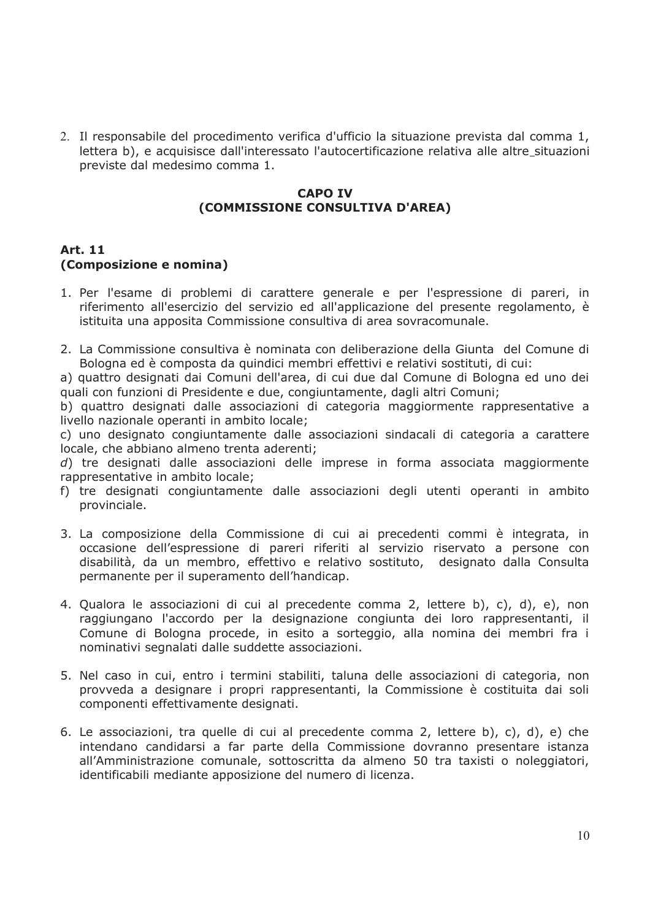2. Il responsabile del procedimento verifica d'ufficio la situazione prevista dal comma 1, lettera b), e acquisisce dall'interessato l'autocertificazione relativa alle altre situazioni previste dal medesimo comma 1.

#### **CAPO TV** (COMMISSIONE CONSULTIVA D'AREA)

## **Art. 11** (Composizione e nomina)

- 1. Per l'esame di problemi di carattere generale e per l'espressione di pareri, in riferimento all'esercizio del servizio ed all'applicazione del presente regolamento, è istituita una apposita Commissione consultiva di area sovracomunale.
- 2. La Commissione consultiva è nominata con deliberazione della Giunta del Comune di Bologna ed è composta da quindici membri effettivi e relativi sostituti, di cui:

a) quattro designati dai Comuni dell'area, di cui due dal Comune di Bologna ed uno dei quali con funzioni di Presidente e due, congiuntamente, dagli altri Comuni:

b) quattro designati dalle associazioni di categoria maggiormente rappresentative a livello nazionale operanti in ambito locale:

c) uno designato congiuntamente dalle associazioni sindacali di categoria a carattere locale, che abbiano almeno trenta aderenti;

 $d$ ) tre designati dalle associazioni delle imprese in forma associata maggiormente rappresentative in ambito locale;

- f) tre designati congiuntamente dalle associazioni degli utenti operanti in ambito provinciale.
- 3. La composizione della Commissione di cui ai precedenti commi è integrata, in occasione dell'espressione di pareri riferiti al servizio riservato a persone con disabilità, da un membro, effettivo e relativo sostituto, designato dalla Consulta permanente per il superamento dell'handicap.
- 4. Qualora le associazioni di cui al precedente comma 2, lettere b), c), d), e), non raggiungano l'accordo per la designazione congiunta dei loro rappresentanti, il Comune di Bologna procede, in esito a sorteggio, alla nomina dei membri fra i nominativi segnalati dalle suddette associazioni.
- 5. Nel caso in cui, entro i termini stabiliti, taluna delle associazioni di categoria, non provveda a designare i propri rappresentanti, la Commissione è costituita dai soli componenti effettivamente designati.
- 6. Le associazioni, tra quelle di cui al precedente comma 2, lettere b), c), d), e) che intendano candidarsi a far parte della Commissione dovranno presentare istanza all'Amministrazione comunale, sottoscritta da almeno 50 tra taxisti o noleggiatori, identificabili mediante apposizione del numero di licenza.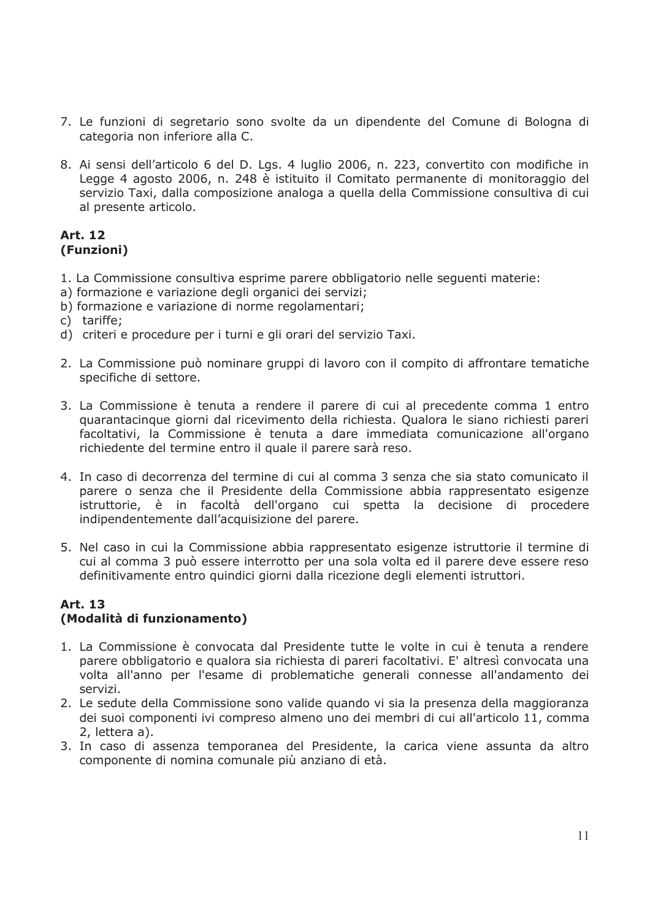- 7. Le funzioni di segretario sono svolte da un dipendente del Comune di Bologna di categoria non inferiore alla C.
- 8. Ai sensi dell'articolo 6 del D. Lgs. 4 luglio 2006, n. 223, convertito con modifiche in Legge 4 agosto 2006, n. 248 è istituito il Comitato permanente di monitoraggio del servizio Taxi, dalla composizione analoga a quella della Commissione consultiva di cui al presente articolo.

#### **Art. 12** (Funzioni)

- 1. La Commissione consultiva esprime parere obbligatorio nelle seguenti materie:
- a) formazione e variazione degli organici dei servizi;
- b) formazione e variazione di norme regolamentari:
- c) tariffe;
- d) criteri e procedure per i turni e gli orari del servizio Taxi.
- 2. La Commissione può nominare gruppi di lavoro con il compito di affrontare tematiche specifiche di settore.
- 3. La Commissione è tenuta a rendere il parere di cui al precedente comma 1 entro guarantacingue giorni dal ricevimento della richiesta. Qualora le siano richiesti pareri facoltativi, la Commissione è tenuta a dare immediata comunicazione all'organo richiedente del termine entro il quale il parere sarà reso.
- 4. In caso di decorrenza del termine di cui al comma 3 senza che sia stato comunicato il parere o senza che il Presidente della Commissione abbia rappresentato esigenze istruttorie, è in facoltà dell'organo cui spetta la decisione di procedere indipendentemente dall'acquisizione del parere.
- 5. Nel caso in cui la Commissione abbia rappresentato esigenze istruttorie il termine di cui al comma 3 può essere interrotto per una sola volta ed il parere deve essere reso definitivamente entro quindici giorni dalla ricezione degli elementi istruttori.

### Art. 13 (Modalità di funzionamento)

- 1. La Commissione è convocata dal Presidente tutte le volte in cui è tenuta a rendere parere obbligatorio e qualora sia richiesta di pareri facoltativi. E' altresì convocata una volta all'anno per l'esame di problematiche generali connesse all'andamento dei servizi.
- 2. Le sedute della Commissione sono valide quando vi sia la presenza della maggioranza dei suoi componenti ivi compreso almeno uno dei membri di cui all'articolo 11, comma 2, lettera a).
- 3. In caso di assenza temporanea del Presidente, la carica viene assunta da altro componente di nomina comunale più anziano di età.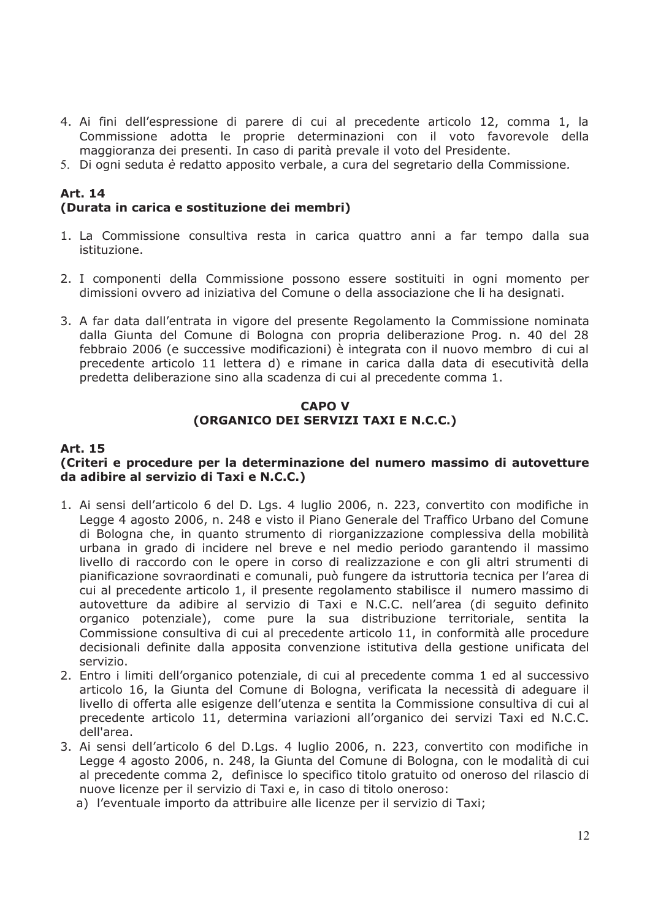- 4. Ai fini dell'espressione di parere di cui al precedente articolo 12, comma 1, la Commissione adotta le proprie determinazioni con il voto favorevole della maggioranza dei presenti. In caso di parità prevale il voto del Presidente.
- 5. Di ogni seduta è redatto apposito verbale, a cura del segretario della Commissione.

# **Art. 14** (Durata in carica e sostituzione dei membri)

- 1. La Commissione consultiva resta in carica quattro anni a far tempo dalla sua istituzione.
- 2. I componenti della Commissione possono essere sostituiti in ogni momento per dimissioni ovvero ad iniziativa del Comune o della associazione che li ha designati.
- 3. A far data dall'entrata in vigore del presente Regolamento la Commissione nominata dalla Giunta del Comune di Bologna con propria deliberazione Prog. n. 40 del 28 febbraio 2006 (e successive modificazioni) è integrata con il nuovo membro di cui al precedente articolo 11 lettera d) e rimane in carica dalla data di esecutività della predetta deliberazione sino alla scadenza di cui al precedente comma 1.

#### **CAPO V** (ORGANICO DEI SERVIZI TAXI E N.C.C.)

#### **Art. 15**

#### (Criteri e procedure per la determinazione del numero massimo di autovetture da adibire al servizio di Taxi e N.C.C.)

- 1. Ai sensi dell'articolo 6 del D. Lgs. 4 luglio 2006, n. 223, convertito con modifiche in Legge 4 agosto 2006, n. 248 e visto il Piano Generale del Traffico Urbano del Comune di Bologna che, in quanto strumento di riorganizzazione complessiva della mobilità urbana in grado di incidere nel breve e nel medio periodo garantendo il massimo livello di raccordo con le opere in corso di realizzazione e con gli altri strumenti di pianificazione sovraordinati e comunali, può fungere da istruttoria tecnica per l'area di cui al precedente articolo 1, il presente regolamento stabilisce il numero massimo di autovetture da adibire al servizio di Taxi e N.C.C. nell'area (di seguito definito organico potenziale), come pure la sua distribuzione territoriale, sentita la Commissione consultiva di cui al precedente articolo 11, in conformità alle procedure decisionali definite dalla apposita convenzione istitutiva della gestione unificata del servizio.
- 2. Entro i limiti dell'organico potenziale, di cui al precedente comma 1 ed al successivo articolo 16, la Giunta del Comune di Bologna, verificata la necessità di adeguare il livello di offerta alle esigenze dell'utenza e sentita la Commissione consultiva di cui al precedente articolo 11, determina variazioni all'organico dei servizi Taxi ed N.C.C. dell'area.
- 3. Ai sensi dell'articolo 6 del D.Lgs. 4 luglio 2006, n. 223, convertito con modifiche in Legge 4 agosto 2006, n. 248, la Giunta del Comune di Bologna, con le modalità di cui al precedente comma 2, definisce lo specifico titolo gratuito od oneroso del rilascio di nuove licenze per il servizio di Taxi e, in caso di titolo oneroso:
	- a) l'eventuale importo da attribuire alle licenze per il servizio di Taxi;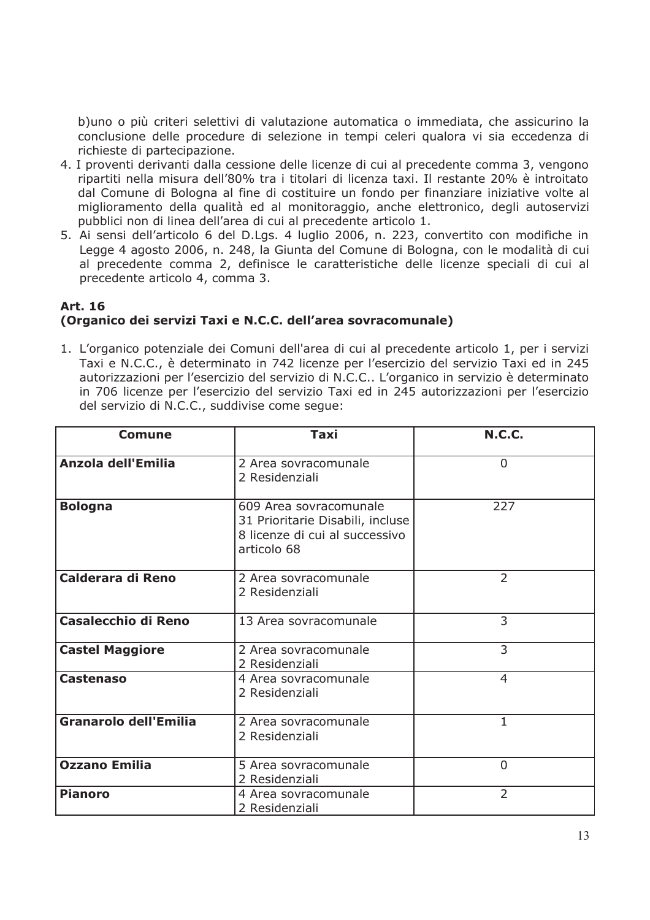b) uno o più criteri selettivi di valutazione automatica o immediata, che assicurino la conclusione delle procedure di selezione in tempi celeri qualora vi sia eccedenza di richieste di partecipazione.

- 4. I proventi derivanti dalla cessione delle licenze di cui al precedente comma 3, vengono ripartiti nella misura dell'80% tra i titolari di licenza taxi. Il restante 20% è introitato dal Comune di Bologna al fine di costituire un fondo per finanziare iniziative volte al miglioramento della qualità ed al monitoraggio, anche elettronico, degli autoservizi pubblici non di linea dell'area di cui al precedente articolo 1.
- 5. Ai sensi dell'articolo 6 del D.Lgs. 4 luglio 2006, n. 223, convertito con modifiche in Legge 4 agosto 2006, n. 248, la Giunta del Comune di Bologna, con le modalità di cui al precedente comma 2, definisce le caratteristiche delle licenze speciali di cui al precedente articolo 4, comma 3.

## **Art. 16** (Organico dei servizi Taxi e N.C.C. dell'area sovracomunale)

1. L'organico potenziale dei Comuni dell'area di cui al precedente articolo 1, per i servizi Taxi e N.C.C., è determinato in 742 licenze per l'esercizio del servizio Taxi ed in 245 autorizzazioni per l'esercizio del servizio di N.C.C.. L'organico in servizio è determinato in 706 licenze per l'esercizio del servizio Taxi ed in 245 autorizzazioni per l'esercizio del servizio di N.C.C., suddivise come seque:

| <b>Comune</b>                | <b>Taxi</b>                                                                                                 | <b>N.C.C.</b>  |
|------------------------------|-------------------------------------------------------------------------------------------------------------|----------------|
| Anzola dell'Emilia           | 2 Area sovracomunale<br>2 Residenziali                                                                      | $\overline{0}$ |
| <b>Bologna</b>               | 609 Area sovracomunale<br>31 Prioritarie Disabili, incluse<br>8 licenze di cui al successivo<br>articolo 68 | 227            |
| Calderara di Reno            | 2 Area sovracomunale<br>2 Residenziali                                                                      | $\overline{2}$ |
| <b>Casalecchio di Reno</b>   | 13 Area sovracomunale                                                                                       | 3              |
| <b>Castel Maggiore</b>       | 2 Area sovracomunale<br>2 Residenziali                                                                      | 3              |
| <b>Castenaso</b>             | 4 Area sovracomunale<br>2 Residenziali                                                                      | $\overline{4}$ |
| <b>Granarolo dell'Emilia</b> | 2 Area sovracomunale<br>2 Residenziali                                                                      | $\mathbf 1$    |
| <b>Ozzano Emilia</b>         | 5 Area sovracomunale<br>2 Residenziali                                                                      | $\Omega$       |
| <b>Pianoro</b>               | 4 Area sovracomunale<br>2 Residenziali                                                                      | $\overline{2}$ |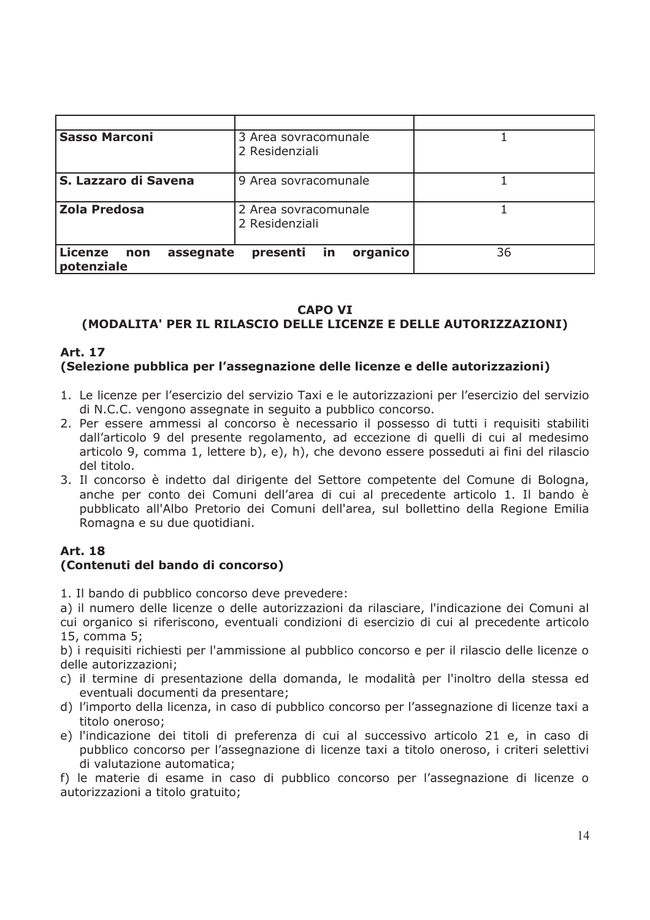| <b>Sasso Marconi</b>                      | 3 Area sovracomunale<br>2 Residenziali |    |
|-------------------------------------------|----------------------------------------|----|
| S. Lazzaro di Savena                      | 9 Area sovracomunale                   |    |
| <b>Zola Predosa</b>                       | 2 Area sovracomunale<br>2 Residenziali |    |
| Licenze<br>assegnate<br>non<br>potenziale | organico<br>in<br>presenti             | 36 |

#### **CAPO VI**

# (MODALITA' PER IL RILASCIO DELLE LICENZE E DELLE AUTORIZZAZIONI)

#### **Art. 17** (Selezione pubblica per l'assegnazione delle licenze e delle autorizzazioni)

- 1. Le licenze per l'esercizio del servizio Taxi e le autorizzazioni per l'esercizio del servizio di N.C.C. vengono assegnate in seguito a pubblico concorso.
- 2. Per essere ammessi al concorso è necessario il possesso di tutti i requisiti stabiliti dall'articolo 9 del presente regolamento, ad eccezione di quelli di cui al medesimo articolo 9, comma 1, lettere b), e), h), che devono essere posseduti ai fini del rilascio del titolo.
- 3. Il concorso è indetto dal dirigente del Settore competente del Comune di Bologna, anche per conto dei Comuni dell'area di cui al precedente articolo 1. Il bando è pubblicato all'Albo Pretorio dei Comuni dell'area, sul bollettino della Regione Emilia Romagna e su due quotidiani.

# **Art. 18**

### (Contenuti del bando di concorso)

1. Il bando di pubblico concorso deve prevedere:

a) il numero delle licenze o delle autorizzazioni da rilasciare, l'indicazione dei Comuni al cui organico si riferiscono, eventuali condizioni di esercizio di cui al precedente articolo 15, comma 5;

b) i requisiti richiesti per l'ammissione al pubblico concorso e per il rilascio delle licenze o delle autorizzazioni:

- c) il termine di presentazione della domanda, le modalità per l'inoltro della stessa ed eventuali documenti da presentare;
- d) l'importo della licenza, in caso di pubblico concorso per l'assegnazione di licenze taxi a titolo oneroso;
- e) l'indicazione dei titoli di preferenza di cui al successivo articolo 21 e, in caso di pubblico concorso per l'assegnazione di licenze taxi a titolo oneroso, i criteri selettivi di valutazione automatica;

f) le materie di esame in caso di pubblico concorso per l'assegnazione di licenze o autorizzazioni a titolo gratuito;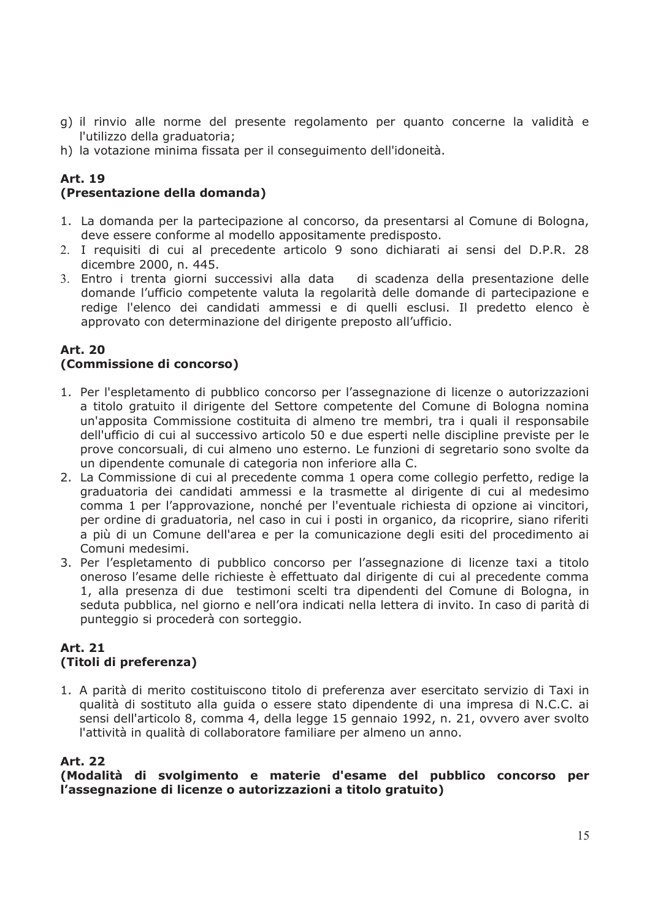- g) il rinvio alle norme del presente regolamento per quanto concerne la validità e l'utilizzo della graduatoria;
- h) la votazione minima fissata per il conseguimento dell'idoneità.

# **Art. 19**

### (Presentazione della domanda)

- 1. La domanda per la partecipazione al concorso, da presentarsi al Comune di Bologna, deve essere conforme al modello appositamente predisposto.
- 2. I requisiti di cui al precedente articolo 9 sono dichiarati ai sensi del D.P.R. 28 dicembre 2000, n. 445.
- 3. Entro i trenta giorni successivi alla data di scadenza della presentazione delle domande l'ufficio competente valuta la regolarità delle domande di partecipazione e redige l'elenco dei candidati ammessi e di quelli esclusi. Il predetto elenco è approvato con determinazione del dirigente preposto all'ufficio.

#### **Art. 20** (Commissione di concorso)

- 1. Per l'espletamento di pubblico concorso per l'assegnazione di licenze o autorizzazioni a titolo gratuito il dirigente del Settore competente del Comune di Bologna nomina un'apposita Commissione costituita di almeno tre membri, tra i quali il responsabile dell'ufficio di cui al successivo articolo 50 e due esperti nelle discipline previste per le prove concorsuali, di cui almeno uno esterno. Le funzioni di segretario sono svolte da un dipendente comunale di categoria non inferiore alla C.
- 2. La Commissione di cui al precedente comma 1 opera come collegio perfetto, redige la graduatoria dei candidati ammessi e la trasmette al dirigente di cui al medesimo comma 1 per l'approvazione, nonché per l'eventuale richiesta di opzione ai vincitori, per ordine di graduatoria, nel caso in cui i posti in organico, da ricoprire, siano riferiti a più di un Comune dell'area e per la comunicazione degli esiti del procedimento ai Comuni medesimi.
- 3. Per l'espletamento di pubblico concorso per l'assegnazione di licenze taxi a titolo oneroso l'esame delle richieste è effettuato dal dirigente di cui al precedente comma 1, alla presenza di due testimoni scelti tra dipendenti del Comune di Bologna, in seduta pubblica, nel giorno e nell'ora indicati nella lettera di invito. In caso di parità di punteggio si procederà con sorteggio.

### **Art. 21** (Titoli di preferenza)

1. A parità di merito costituiscono titolo di preferenza aver esercitato servizio di Taxi in qualità di sostituto alla quida o essere stato dipendente di una impresa di N.C.C. ai sensi dell'articolo 8, comma 4, della legge 15 gennaio 1992, n. 21, ovvero aver svolto l'attività in qualità di collaboratore familiare per almeno un anno.

### **Art. 22**

(Modalità di svolgimento e materie d'esame del pubblico concorso per l'assegnazione di licenze o autorizzazioni a titolo gratuito)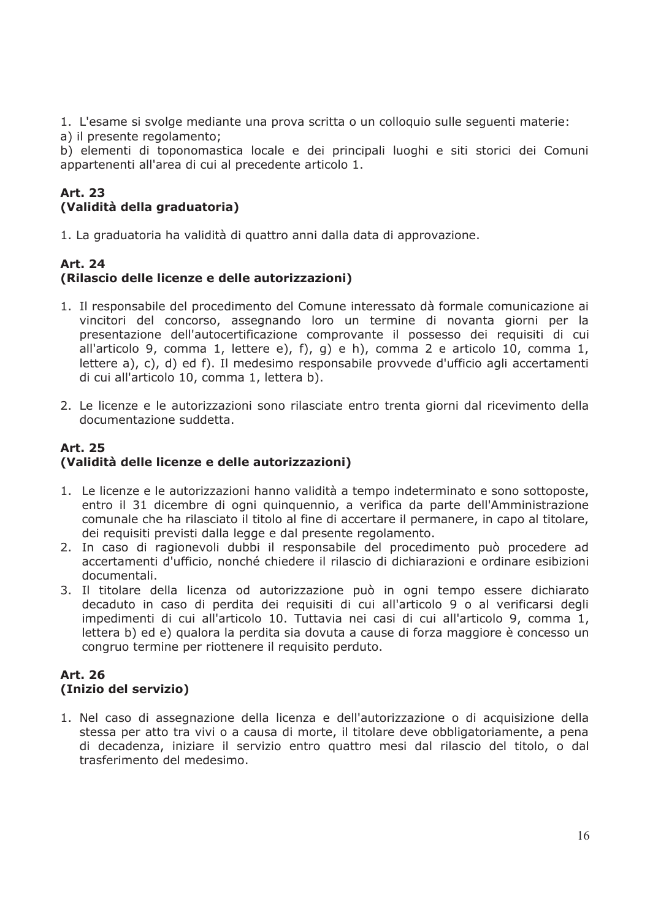1. L'esame si svolge mediante una prova scritta o un colloguio sulle seguenti materie:

a) il presente regolamento;

b) elementi di toponomastica locale e dei principali luoghi e siti storici dei Comuni appartenenti all'area di cui al precedente articolo 1.

# Art. 23 (Validità della graduatoria)

1. La graduatoria ha validità di quattro anni dalla data di approvazione.

# **Art. 24** (Rilascio delle licenze e delle autorizzazioni)

- 1. Il responsabile del procedimento del Comune interessato dà formale comunicazione ai vincitori del concorso, assegnando loro un termine di novanta giorni per la presentazione dell'autocertificazione comprovante il possesso dei requisiti di cui all'articolo 9, comma 1, lettere e), f), g) e h), comma 2 e articolo 10, comma 1, lettere a), c), d) ed f). Il medesimo responsabile provvede d'ufficio agli accertamenti di cui all'articolo 10, comma 1, lettera b).
- 2. Le licenze e le autorizzazioni sono rilasciate entro trenta giorni dal ricevimento della documentazione suddetta.

# **Art. 25** (Validità delle licenze e delle autorizzazioni)

- 1. Le licenze e le autorizzazioni hanno validità a tempo indeterminato e sono sottoposte, entro il 31 dicembre di ogni quinquennio, a verifica da parte dell'Amministrazione comunale che ha rilasciato il titolo al fine di accertare il permanere, in capo al titolare, dei requisiti previsti dalla legge e dal presente regolamento.
- 2. In caso di ragionevoli dubbi il responsabile del procedimento può procedere ad accertamenti d'ufficio, nonché chiedere il rilascio di dichiarazioni e ordinare esibizioni documentali.
- 3. Il titolare della licenza od autorizzazione può in ogni tempo essere dichiarato decaduto in caso di perdita dei requisiti di cui all'articolo 9 o al verificarsi degli impedimenti di cui all'articolo 10. Tuttavia nei casi di cui all'articolo 9, comma 1, lettera b) ed e) qualora la perdita sia dovuta a cause di forza maggiore è concesso un congruo termine per riottenere il requisito perduto.

# **Art. 26** (Inizio del servizio)

1. Nel caso di assegnazione della licenza e dell'autorizzazione o di acquisizione della stessa per atto tra vivi o a causa di morte, il titolare deve obbligatoriamente, a pena di decadenza, iniziare il servizio entro quattro mesi dal rilascio del titolo, o dal trasferimento del medesimo.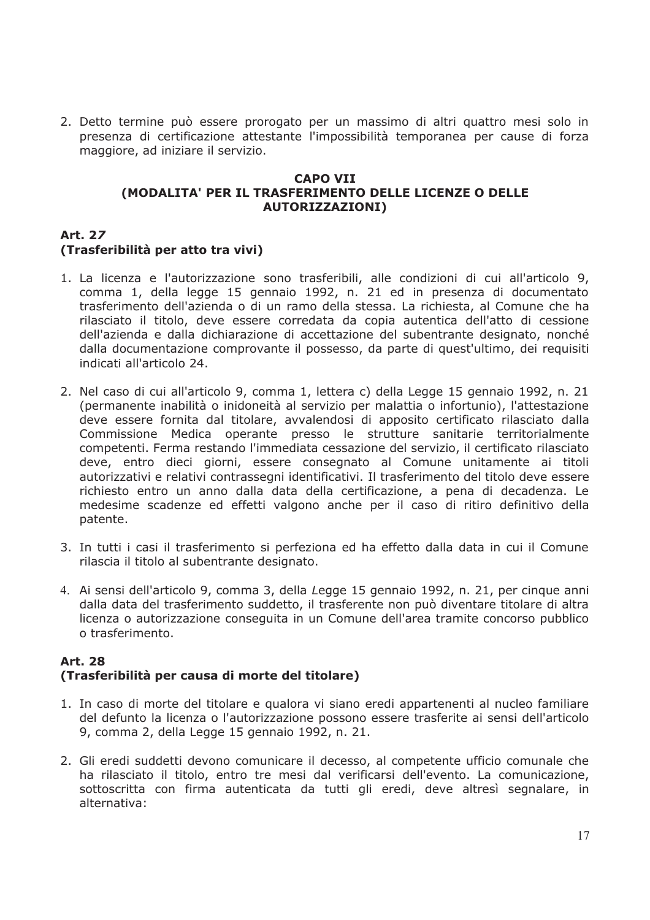2. Detto termine può essere prorogato per un massimo di altri quattro mesi solo in presenza di certificazione attestante l'impossibilità temporanea per cause di forza maggiore, ad iniziare il servizio.

#### **CAPO VII** (MODALITA' PER IL TRASFERIMENTO DELLE LICENZE O DELLE **AUTORIZZAZIONI)**

#### **Art. 27** (Trasferibilità per atto tra vivi)

- 1. La licenza e l'autorizzazione sono trasferibili, alle condizioni di cui all'articolo 9, comma 1, della legge 15 gennaio 1992, n. 21 ed in presenza di documentato trasferimento dell'azienda o di un ramo della stessa. La richiesta, al Comune che ha rilasciato il titolo, deve essere corredata da copia autentica dell'atto di cessione dell'azienda e dalla dichiarazione di accettazione del subentrante designato, nonché dalla documentazione comprovante il possesso, da parte di quest'ultimo, dei requisiti indicati all'articolo 24.
- 2. Nel caso di cui all'articolo 9, comma 1, lettera c) della Legge 15 gennaio 1992, n. 21 (permanente inabilità o inidoneità al servizio per malattia o infortunio), l'attestazione deve essere fornita dal titolare, avvalendosi di apposito certificato rilasciato dalla Commissione Medica operante presso le strutture sanitarie territorialmente competenti. Ferma restando l'immediata cessazione del servizio, il certificato rilasciato deve, entro dieci giorni, essere consegnato al Comune unitamente ai titoli autorizzativi e relativi contrassegni identificativi. Il trasferimento del titolo deve essere richiesto entro un anno dalla data della certificazione, a pena di decadenza. Le medesime scadenze ed effetti valgono anche per il caso di ritiro definitivo della patente.
- 3. In tutti i casi il trasferimento si perfeziona ed ha effetto dalla data in cui il Comune rilascia il titolo al subentrante designato.
- 4. Ai sensi dell'articolo 9, comma 3, della Legge 15 gennaio 1992, n. 21, per cinque anni dalla data del trasferimento suddetto, il trasferente non può diventare titolare di altra licenza o autorizzazione conseguita in un Comune dell'area tramite concorso pubblico o trasferimento.

#### **Art. 28** (Trasferibilità per causa di morte del titolare)

- 1. In caso di morte del titolare e qualora vi siano eredi appartenenti al nucleo familiare del defunto la licenza o l'autorizzazione possono essere trasferite ai sensi dell'articolo 9, comma 2, della Legge 15 gennaio 1992, n. 21.
- 2. Gli eredi suddetti devono comunicare il decesso, al competente ufficio comunale che ha rilasciato il titolo, entro tre mesi dal verificarsi dell'evento. La comunicazione, sottoscritta con firma autenticata da tutti gli eredi, deve altresì segnalare, in alternativa: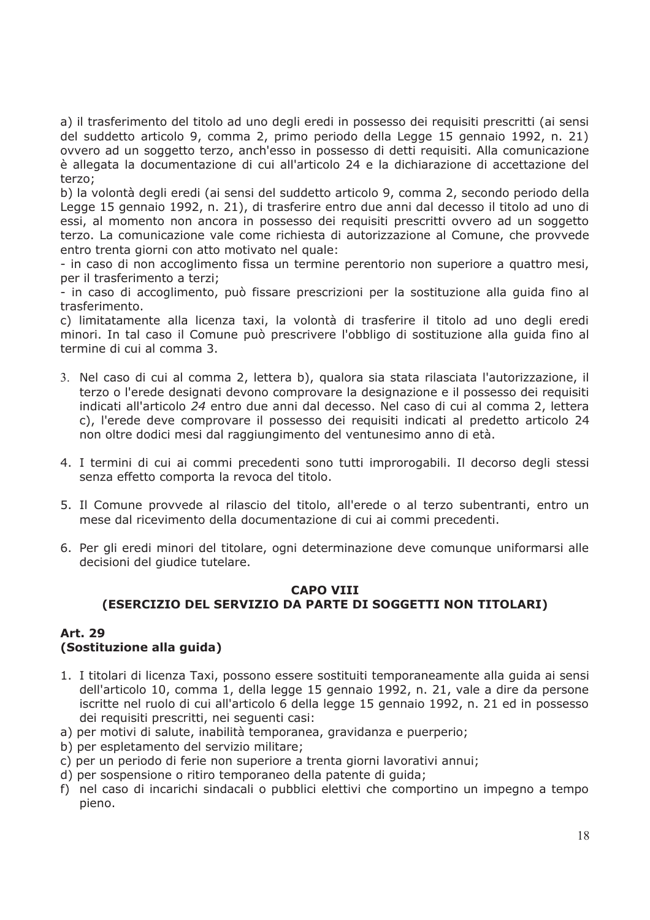a) il trasferimento del titolo ad uno degli eredi in possesso dei reguisiti prescritti (ai sensi del suddetto articolo 9, comma 2, primo periodo della Legge 15 gennaio 1992, n. 21) ovvero ad un soggetto terzo, anch'esso in possesso di detti reguisiti. Alla comunicazione è allegata la documentazione di cui all'articolo 24 e la dichiarazione di accettazione del terzo:

b) la volontà degli eredi (ai sensi del suddetto articolo 9, comma 2, secondo periodo della Legge 15 gennaio 1992, n. 21), di trasferire entro due anni dal decesso il titolo ad uno di essi, al momento non ancora in possesso dei requisiti prescritti ovvero ad un soggetto terzo. La comunicazione vale come richiesta di autorizzazione al Comune, che provvede entro trenta giorni con atto motivato nel quale:

- in caso di non accoglimento fissa un termine perentorio non superiore a quattro mesi, per il trasferimento a terzi;

- in caso di accoglimento, può fissare prescrizioni per la sostituzione alla guida fino al trasferimento.

c) limitatamente alla licenza taxi, la volontà di trasferire il titolo ad uno degli eredi minori. In tal caso il Comune può prescrivere l'obbligo di sostituzione alla guida fino al termine di cui al comma 3.

- 3. Nel caso di cui al comma 2, lettera b), qualora sia stata rilasciata l'autorizzazione, il terzo o l'erede designati devono comprovare la designazione e il possesso dei reguisiti indicati all'articolo 24 entro due anni dal decesso. Nel caso di cui al comma 2, lettera c), l'erede deve comprovare il possesso dei requisiti indicati al predetto articolo 24 non oltre dodici mesi dal raggiungimento del ventunesimo anno di età.
- 4. I termini di cui ai commi precedenti sono tutti improrogabili. Il decorso degli stessi senza effetto comporta la revoca del titolo.
- 5. Il Comune provvede al rilascio del titolo, all'erede o al terzo subentranti, entro un mese dal ricevimento della documentazione di cui ai commi precedenti.
- 6. Per gli eredi minori del titolare, ogni determinazione deve comungue uniformarsi alle decisioni del giudice tutelare.

#### **CAPO VIII** (ESERCIZIO DEL SERVIZIO DA PARTE DI SOGGETTI NON TITOLARI)

#### **Art. 29** (Sostituzione alla quida)

- 1. I titolari di licenza Taxi, possono essere sostituiti temporaneamente alla quida ai sensi dell'articolo 10, comma 1, della legge 15 gennaio 1992, n. 21, vale a dire da persone iscritte nel ruolo di cui all'articolo 6 della legge 15 gennaio 1992, n. 21 ed in possesso dei requisiti prescritti, nei sequenti casi:
- a) per motivi di salute, inabilità temporanea, gravidanza e puerperio;
- b) per espletamento del servizio militare;
- c) per un periodo di ferie non superiore a trenta giorni lavorativi annui;
- d) per sospensione o ritiro temporaneo della patente di quida;
- f) nel caso di incarichi sindacali o pubblici elettivi che comportino un impegno a tempo pieno.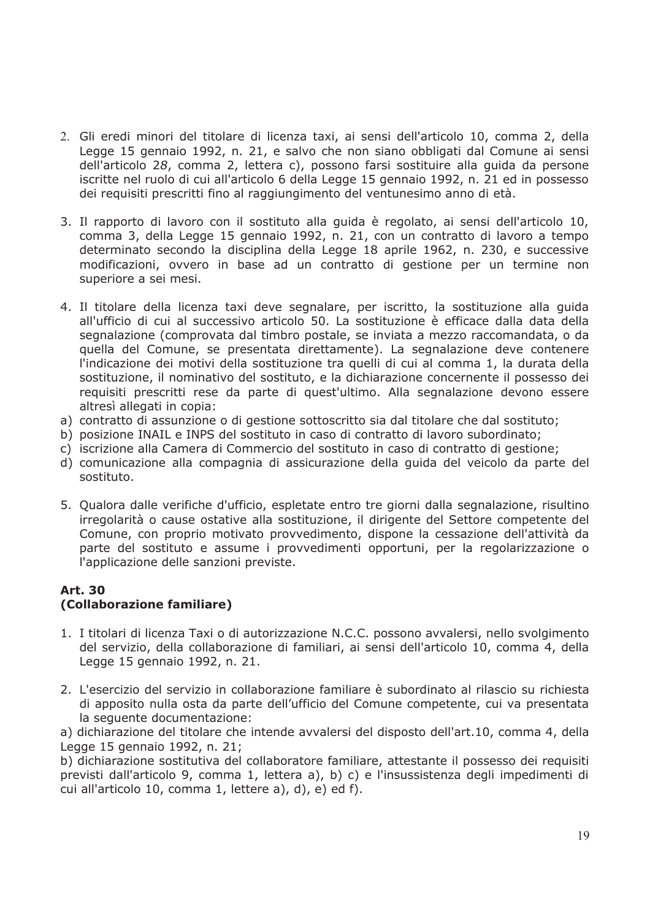- 2. Gli eredi minori del titolare di licenza taxi, ai sensi dell'articolo 10, comma 2, della Legge 15 gennaio 1992, n. 21, e salvo che non siano obbligati dal Comune ai sensi dell'articolo 28, comma 2, lettera c), possono farsi sostituire alla guida da persone iscritte nel ruolo di cui all'articolo 6 della Legge 15 gennaio 1992, n. 21 ed in possesso dei requisiti prescritti fino al raggiungimento del ventunesimo anno di età.
- 3. Il rapporto di lavoro con il sostituto alla guida è regolato, ai sensi dell'articolo 10, comma 3, della Legge 15 gennaio 1992, n. 21, con un contratto di lavoro a tempo determinato secondo la disciplina della Legge 18 aprile 1962, n. 230, e successive modificazioni, ovvero in base ad un contratto di gestione per un termine non superiore a sei mesi.
- 4. Il titolare della licenza taxi deve segnalare, per iscritto, la sostituzione alla guida all'ufficio di cui al successivo articolo 50. La sostituzione è efficace dalla data della segnalazione (comprovata dal timbro postale, se inviata a mezzo raccomandata, o da quella del Comune, se presentata direttamente). La segnalazione deve contenere l'indicazione dei motivi della sostituzione tra quelli di cui al comma 1, la durata della sostituzione, il nominativo del sostituto, e la dichiarazione concernente il possesso dei requisiti prescritti rese da parte di quest'ultimo. Alla segnalazione devono essere altresì allegati in copia:
- a) contratto di assunzione o di gestione sottoscritto sia dal titolare che dal sostituto:
- b) posizione INAIL e INPS del sostituto in caso di contratto di lavoro subordinato;
- c) iscrizione alla Camera di Commercio del sostituto in caso di contratto di gestione;
- d) comunicazione alla compagnia di assicurazione della guida del veicolo da parte del sostituto.
- 5. Qualora dalle verifiche d'ufficio, espletate entro tre giorni dalla segnalazione, risultino irregolarità o cause ostative alla sostituzione, il dirigente del Settore competente del Comune, con proprio motivato provvedimento, dispone la cessazione dell'attività da parte del sostituto e assume i provvedimenti opportuni, per la regolarizzazione o l'applicazione delle sanzioni previste.

#### **Art. 30** (Collaborazione familiare)

- 1. I titolari di licenza Taxi o di autorizzazione N.C.C. possono avvalersi, nello svolgimento del servizio, della collaborazione di familiari, ai sensi dell'articolo 10, comma 4, della Legge 15 gennaio 1992, n. 21.
- 2. L'esercizio del servizio in collaborazione familiare è subordinato al rilascio su richiesta di apposito nulla osta da parte dell'ufficio del Comune competente, cui va presentata la sequente documentazione:

a) dichiarazione del titolare che intende avvalersi del disposto dell'art.10, comma 4, della Legge 15 gennaio 1992, n. 21;

b) dichiarazione sostitutiva del collaboratore familiare, attestante il possesso dei requisiti previsti dall'articolo 9, comma 1, lettera a), b) c) e l'insussistenza degli impedimenti di cui all'articolo 10, comma 1, lettere a), d), e) ed f).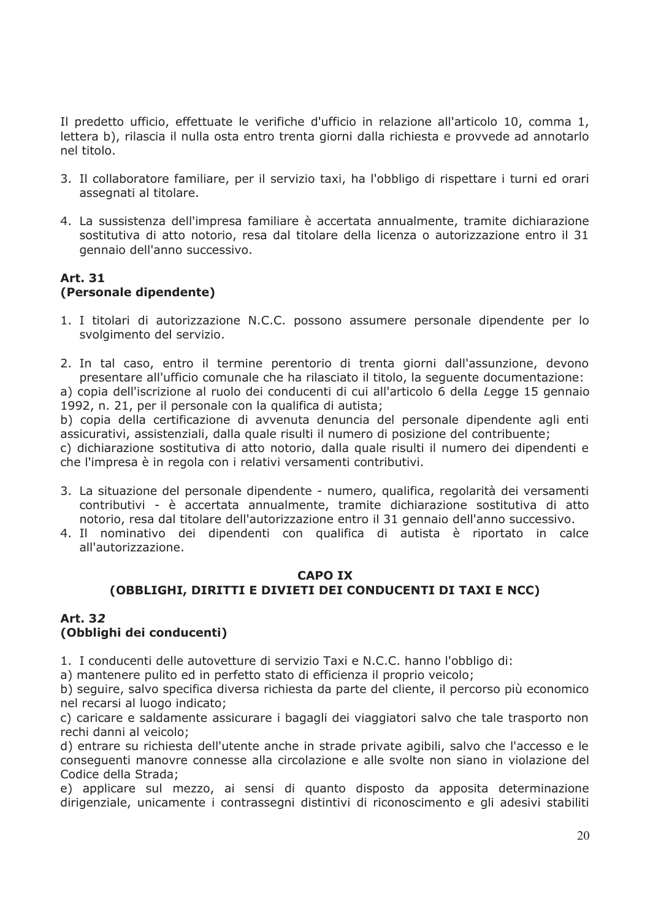Il predetto ufficio, effettuate le verifiche d'ufficio in relazione all'articolo 10, comma 1, lettera b), rilascia il nulla osta entro trenta giorni dalla richiesta e provvede ad annotarlo nel titolo.

- 3. Il collaboratore familiare, per il servizio taxi, ha l'obbligo di rispettare i turni ed orari assegnati al titolare.
- 4. La sussistenza dell'impresa familiare è accertata annualmente, tramite dichiarazione sostitutiva di atto notorio, resa dal titolare della licenza o autorizzazione entro il 31 gennaio dell'anno successivo.

### **Art. 31** (Personale dipendente)

1. I titolari di autorizzazione N.C.C. possono assumere personale dipendente per lo svolgimento del servizio.

2. In tal caso, entro il termine perentorio di trenta giorni dall'assunzione, devono presentare all'ufficio comunale che ha rilasciato il titolo, la seguente documentazione: a) copia dell'iscrizione al ruolo dei conducenti di cui all'articolo 6 della Legge 15 gennaio 1992, n. 21, per il personale con la qualifica di autista;

b) copia della certificazione di avvenuta denuncia del personale dipendente agli enti assicurativi, assistenziali, dalla quale risulti il numero di posizione del contribuente;

c) dichiarazione sostitutiva di atto notorio, dalla quale risulti il numero dei dipendenti e che l'impresa è in regola con i relativi versamenti contributivi.

- 3. La situazione del personale dipendente numero, qualifica, regolarità dei versamenti contributivi - è accertata annualmente, tramite dichiarazione sostitutiva di atto notorio, resa dal titolare dell'autorizzazione entro il 31 gennaio dell'anno successivo.
- 4. Il nominativo dei dipendenti con qualifica di autista è riportato in calce all'autorizzazione.

### **CAPO IX** (OBBLIGHI, DIRITTI E DIVIETI DEI CONDUCENTI DI TAXI E NCC)

#### **Art. 32** (Obbliahi dei conducenti)

1. I conducenti delle autovetture di servizio Taxi e N.C.C. hanno l'obbligo di:

a) mantenere pulito ed in perfetto stato di efficienza il proprio veicolo;

b) seguire, salvo specifica diversa richiesta da parte del cliente, il percorso più economico nel recarsi al luogo indicato;

c) caricare e saldamente assicurare i bagagli dei viaggiatori salvo che tale trasporto non rechi danni al veicolo:

d) entrare su richiesta dell'utente anche in strade private agibili, salvo che l'accesso e le conseguenti manovre connesse alla circolazione e alle svolte non siano in violazione del Codice della Strada;

e) applicare sul mezzo, ai sensi di quanto disposto da apposita determinazione dirigenziale, unicamente i contrassegni distintivi di riconoscimento e gli adesivi stabiliti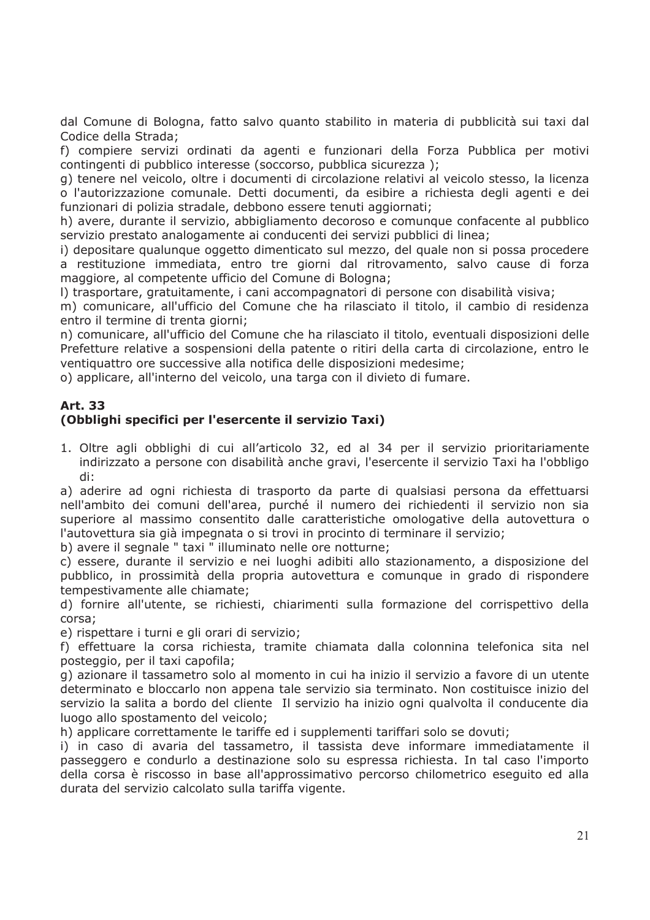dal Comune di Bologna, fatto salvo quanto stabilito in materia di pubblicità sui taxi dal Codice della Strada;

f) compiere servizi ordinati da agenti e funzionari della Forza Pubblica per motivi contingenti di pubblico interesse (soccorso, pubblica sicurezza);

g) tenere nel veicolo, oltre i documenti di circolazione relativi al veicolo stesso, la licenza o l'autorizzazione comunale. Detti documenti, da esibire a richiesta degli agenti e dei funzionari di polizia stradale, debbono essere tenuti aggiornati;

h) avere, durante il servizio, abbigliamento decoroso e comunque confacente al pubblico servizio prestato analogamente ai conducenti dei servizi pubblici di linea:

i) depositare qualunque oggetto dimenticato sul mezzo, del quale non si possa procedere a restituzione immediata, entro tre giorni dal ritrovamento, salvo cause di forza maggiore, al competente ufficio del Comune di Bologna;

I) trasportare, gratuitamente, i cani accompagnatori di persone con disabilità visiva;

m) comunicare, all'ufficio del Comune che ha rilasciato il titolo, il cambio di residenza entro il termine di trenta giorni:

n) comunicare, all'ufficio del Comune che ha rilasciato il titolo, eventuali disposizioni delle Prefetture relative a sospensioni della patente o ritiri della carta di circolazione, entro le ventiquattro ore successive alla notifica delle disposizioni medesime;

o) applicare, all'interno del veicolo, una targa con il divieto di fumare.

# **Art. 33**

# (Obblighi specifici per l'esercente il servizio Taxi)

1. Oltre agli obblighi di cui all'articolo 32, ed al 34 per il servizio prioritariamente indirizzato a persone con disabilità anche gravi, l'esercente il servizio Taxi ha l'obbligo  $\mathsf{di}$ :

a) aderire ad ogni richiesta di trasporto da parte di qualsiasi persona da effettuarsi nell'ambito dei comuni dell'area, purché il numero dei richiedenti il servizio non sia superiore al massimo consentito dalle caratteristiche omologative della autovettura o l'autovettura sia già impegnata o si trovi in procinto di terminare il servizio:

b) avere il segnale " taxi " illuminato nelle ore notturne;

c) essere, durante il servizio e nei luoghi adibiti allo stazionamento, a disposizione del pubblico, in prossimità della propria autovettura e comunque in grado di rispondere tempestivamente alle chiamate;

d) fornire all'utente, se richiesti, chiarimenti sulla formazione del corrispettivo della corsa:

e) rispettare i turni e gli orari di servizio;

f) effettuare la corsa richiesta, tramite chiamata dalla colonnina telefonica sita nel posteggio, per il taxi capofila;

g) azionare il tassametro solo al momento in cui ha inizio il servizio a favore di un utente determinato e bloccarlo non appena tale servizio sia terminato. Non costituisce inizio del servizio la salita a bordo del cliente Il servizio ha inizio ogni qualvolta il conducente dia luogo allo spostamento del veicolo;

h) applicare correttamente le tariffe ed i supplementi tariffari solo se dovuti;

i) in caso di avaria del tassametro, il tassista deve informare immediatamente il passeggero e condurlo a destinazione solo su espressa richiesta. In tal caso l'importo della corsa è riscosso in base all'approssimativo percorso chilometrico eseguito ed alla durata del servizio calcolato sulla tariffa vigente.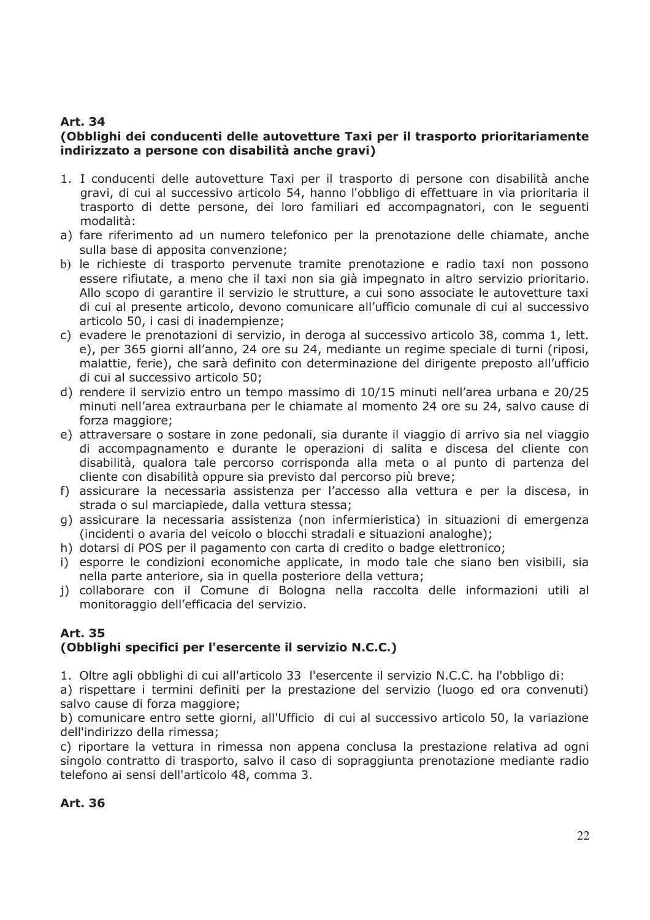# **Art. 34**

### (Obblighi dei conducenti delle autovetture Taxi per il trasporto prioritariamente indirizzato a persone con disabilità anche gravi)

- 1. I conducenti delle autovetture Taxi per il trasporto di persone con disabilità anche gravi, di cui al successivo articolo 54, hanno l'obbligo di effettuare in via prioritaria il trasporto di dette persone, dei loro familiari ed accompagnatori, con le seguenti modalità:
- a) fare riferimento ad un numero telefonico per la prenotazione delle chiamate, anche sulla base di apposita convenzione;
- b) le richieste di trasporto pervenute tramite prenotazione e radio taxi non possono essere rifiutate, a meno che il taxi non sia già impegnato in altro servizio prioritario. Allo scopo di garantire il servizio le strutture, a cui sono associate le autovetture taxi di cui al presente articolo, devono comunicare all'ufficio comunale di cui al successivo articolo 50, i casi di inadempienze;
- c) evadere le prenotazioni di servizio, in deroga al successivo articolo 38, comma 1, lett. e), per 365 giorni all'anno, 24 ore su 24, mediante un regime speciale di turni (riposi, malattie, ferie), che sarà definito con determinazione del dirigente preposto all'ufficio di cui al successivo articolo 50:
- d) rendere il servizio entro un tempo massimo di 10/15 minuti nell'area urbana e 20/25 minuti nell'area extraurbana per le chiamate al momento 24 ore su 24, salvo cause di forza maggiore:
- e) attraversare o sostare in zone pedonali, sia durante il viaggio di arrivo sia nel viaggio di accompagnamento e durante le operazioni di salita e discesa del cliente con disabilità, qualora tale percorso corrisponda alla meta o al punto di partenza del cliente con disabilità oppure sia previsto dal percorso più breve;
- f) assicurare la necessaria assistenza per l'accesso alla vettura e per la discesa, in strada o sul marciapiede, dalla vettura stessa;
- g) assicurare la necessaria assistenza (non infermieristica) in situazioni di emergenza (incidenti o avaria del veicolo o blocchi stradali e situazioni analoghe);
- h) dotarsi di POS per il pagamento con carta di credito o badge elettronico;
- i) esporre le condizioni economiche applicate, in modo tale che siano ben visibili, sia nella parte anteriore, sia in quella posteriore della vettura;
- j) collaborare con il Comune di Bologna nella raccolta delle informazioni utili al monitoraggio dell'efficacia del servizio.

# **Art. 35** (Obblighi specifici per l'esercente il servizio N.C.C.)

1. Oltre agli obblighi di cui all'articolo 33 l'esercente il servizio N.C.C. ha l'obbligo di:

a) rispettare i termini definiti per la prestazione del servizio (luogo ed ora convenuti) salvo cause di forza maggiore:

b) comunicare entro sette giorni, all'Ufficio di cui al successivo articolo 50, la variazione dell'indirizzo della rimessa;

c) riportare la vettura in rimessa non appena conclusa la prestazione relativa ad ogni singolo contratto di trasporto, salvo il caso di sopraggiunta prenotazione mediante radio telefono ai sensi dell'articolo 48, comma 3.

**Art. 36**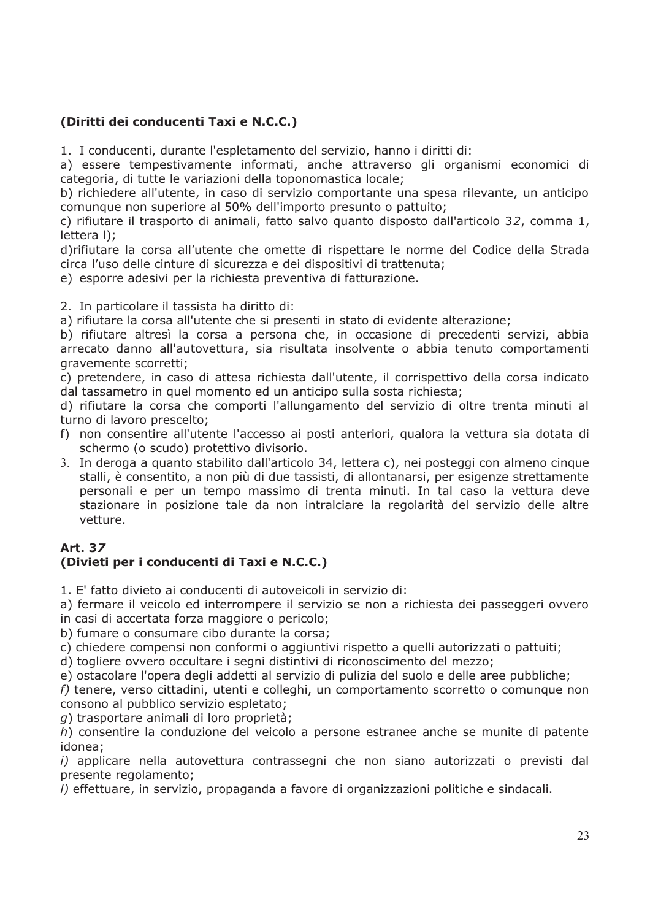# (Diritti dei conducenti Taxi e N.C.C.)

1. I conducenti, durante l'espletamento del servizio, hanno i diritti di:

a) essere tempestivamente informati, anche attraverso gli organismi economici di categoria, di tutte le variazioni della toponomastica locale;

b) richiedere all'utente, in caso di servizio comportante una spesa rilevante, un anticipo comunque non superiore al 50% dell'importo presunto o pattuito;

c) rifiutare il trasporto di animali, fatto salvo quanto disposto dall'articolo 32, comma 1, lettera I):

d) rifiutare la corsa all'utente che omette di rispettare le norme del Codice della Strada circa l'uso delle cinture di sicurezza e dei dispositivi di trattenuta:

e) esporre adesivi per la richiesta preventiva di fatturazione.

2. In particolare il tassista ha diritto di:

a) rifiutare la corsa all'utente che si presenti in stato di evidente alterazione;

b) rifiutare altresì la corsa a persona che, in occasione di precedenti servizi, abbia arrecato danno all'autovettura, sia risultata insolvente o abbia tenuto comportamenti gravemente scorretti;

c) pretendere, in caso di attesa richiesta dall'utente, il corrispettivo della corsa indicato dal tassametro in quel momento ed un anticipo sulla sosta richiesta;

d) rifiutare la corsa che comporti l'allungamento del servizio di oltre trenta minuti al turno di lavoro prescelto:

- f) non consentire all'utente l'accesso ai posti anteriori, qualora la vettura sia dotata di schermo (o scudo) protettivo divisorio.
- 3. In deroga a quanto stabilito dall'articolo 34, lettera c), nei posteggi con almeno cingue stalli, è consentito, a non più di due tassisti, di allontanarsi, per esigenze strettamente personali e per un tempo massimo di trenta minuti. In tal caso la vettura deve stazionare in posizione tale da non intralciare la regolarità del servizio delle altre vetture.

# **Art. 37**

# (Divieti per i conducenti di Taxi e N.C.C.)

1. E' fatto divieto ai conducenti di autoveicoli in servizio di:

a) fermare il veicolo ed interrompere il servizio se non a richiesta dei passeggeri ovvero in casi di accertata forza maggiore o pericolo:

b) fumare o consumare cibo durante la corsa;

c) chiedere compensi non conformi o aggiuntivi rispetto a quelli autorizzati o pattuiti;

d) togliere ovvero occultare i segni distintivi di riconoscimento del mezzo;

e) ostacolare l'opera degli addetti al servizio di pulizia del suolo e delle aree pubbliche;

f) tenere, verso cittadini, utenti e colleghi, un comportamento scorretto o comunque non consono al pubblico servizio espletato:

g) trasportare animali di loro proprietà;

h) consentire la conduzione del veicolo a persone estranee anche se munite di patente idonea:

i) applicare nella autovettura contrassegni che non siano autorizzati o previsti dal presente regolamento;

I) effettuare, in servizio, propaganda a favore di organizzazioni politiche e sindacali.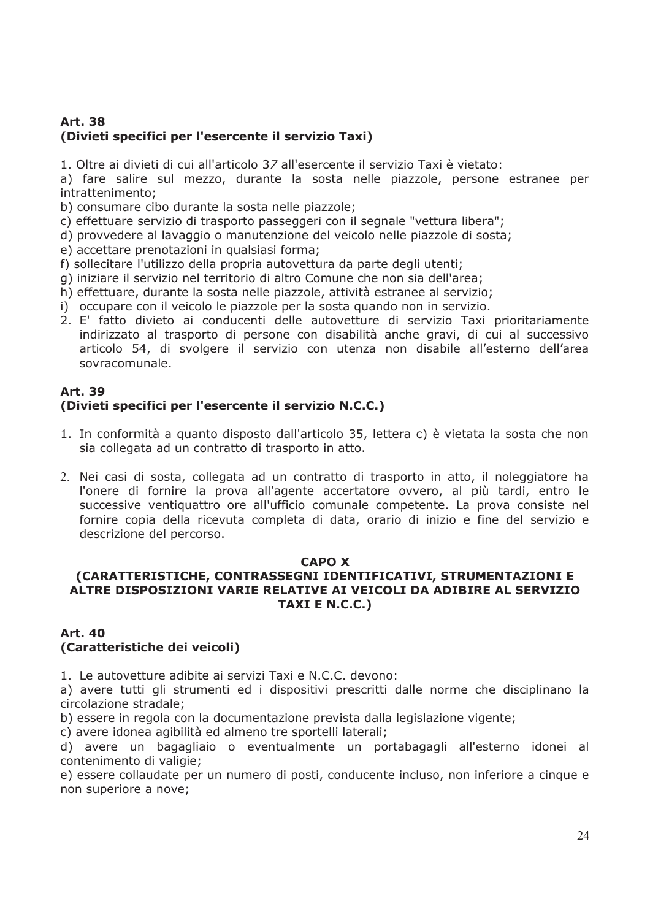# **Art. 38** (Divieti specifici per l'esercente il servizio Taxi)

1. Oltre ai divieti di cui all'articolo 37 all'esercente il servizio Taxi è vietato:

a) fare salire sul mezzo, durante la sosta nelle piazzole, persone estranee per intrattenimento:

b) consumare cibo durante la sosta nelle piazzole;

- c) effettuare servizio di trasporto passeggeri con il segnale "vettura libera";
- d) provvedere al lavaggio o manutenzione del veicolo nelle piazzole di sosta:
- e) accettare prenotazioni in qualsiasi forma;
- f) sollecitare l'utilizzo della propria autovettura da parte degli utenti:
- g) iniziare il servizio nel territorio di altro Comune che non sia dell'area;
- h) effettuare, durante la sosta nelle piazzole, attività estranee al servizio;
- i) occupare con il veicolo le piazzole per la sosta quando non in servizio.
- 2. E' fatto divieto ai conducenti delle autovetture di servizio Taxi prioritariamente indirizzato al trasporto di persone con disabilità anche gravi, di cui al successivo articolo 54, di svolgere il servizio con utenza non disabile all'esterno dell'area sovracomunale.

#### **Art. 39** (Divieti specifici per l'esercente il servizio N.C.C.)

- 1. In conformità a quanto disposto dall'articolo 35, lettera c) è vietata la sosta che non sia collegata ad un contratto di trasporto in atto.
- 2. Nei casi di sosta, collegata ad un contratto di trasporto in atto, il noleggiatore ha l'onere di fornire la prova all'agente accertatore ovvero, al più tardi, entro le successive ventiquattro ore all'ufficio comunale competente. La prova consiste nel fornire copia della ricevuta completa di data, orario di inizio e fine del servizio e descrizione del percorso.

#### **CAPO X**

# (CARATTERISTICHE, CONTRASSEGNI IDENTIFICATIVI, STRUMENTAZIONI E ALTRE DISPOSIZIONI VARIE RELATIVE AI VEICOLI DA ADIBIRE AL SERVIZIO TAXI E N.C.C.)

#### **Art. 40** (Caratteristiche dei veicoli)

1. Le autovetture adibite ai servizi Taxi e N.C.C. devono:

a) avere tutti gli strumenti ed i dispositivi prescritti dalle norme che disciplinano la circolazione stradale:

b) essere in regola con la documentazione prevista dalla legislazione vigente;

c) avere idonea agibilità ed almeno tre sportelli laterali;

d) avere un bagagliaio o eventualmente un portabagagli all'esterno idonei al contenimento di valigie:

e) essere collaudate per un numero di posti, conducente incluso, non inferiore a cinque e non superiore a nove: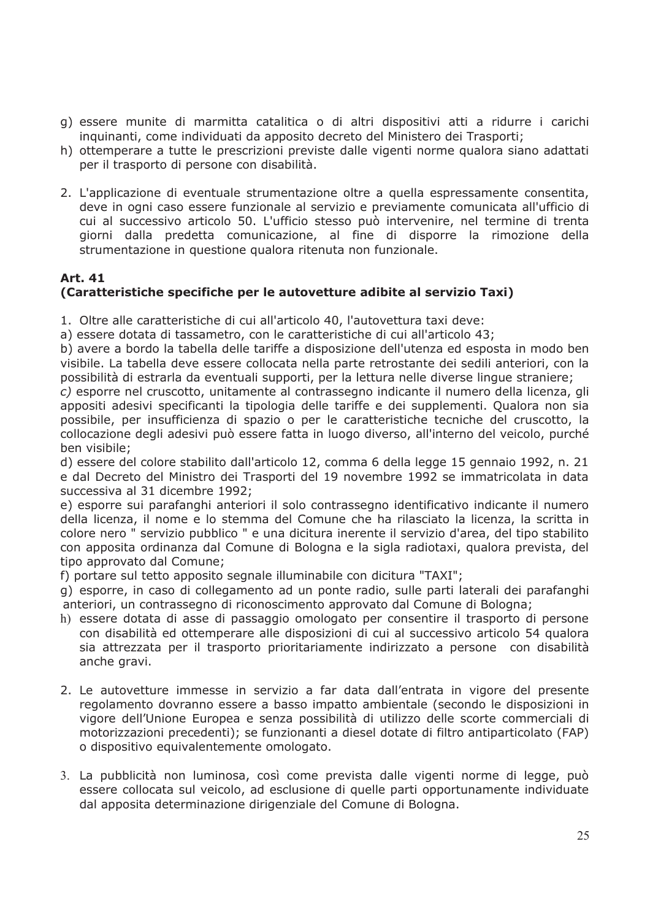- g) essere munite di marmitta catalitica o di altri dispositivi atti a ridurre i carichi inquinanti, come individuati da apposito decreto del Ministero dei Trasporti;
- h) ottemperare a tutte le prescrizioni previste dalle vigenti norme qualora siano adattati per il trasporto di persone con disabilità.
- 2. L'applicazione di eventuale strumentazione oltre a quella espressamente consentita, deve in ogni caso essere funzionale al servizio e previamente comunicata all'ufficio di cui al successivo articolo 50. L'ufficio stesso può intervenire, nel termine di trenta giorni dalla predetta comunicazione, al fine di disporre la rimozione della strumentazione in questione qualora ritenuta non funzionale.

#### **Art. 41** (Caratteristiche specifiche per le autovetture adibite al servizio Taxi)

- 1. Oltre alle caratteristiche di cui all'articolo 40, l'autovettura taxi deve:
- a) essere dotata di tassametro, con le caratteristiche di cui all'articolo 43;

b) avere a bordo la tabella delle tariffe a disposizione dell'utenza ed esposta in modo ben visibile. La tabella deve essere collocata nella parte retrostante dei sedili anteriori, con la possibilità di estrarla da eventuali supporti, per la lettura nelle diverse lingue straniere;

c) esporre nel cruscotto, unitamente al contrassegno indicante il numero della licenza, gli appositi adesivi specificanti la tipologia delle tariffe e dei supplementi. Qualora non sia possibile, per insufficienza di spazio o per le caratteristiche tecniche del cruscotto, la collocazione degli adesivi può essere fatta in luogo diverso, all'interno del veicolo, purché ben visibile;

d) essere del colore stabilito dall'articolo 12, comma 6 della legge 15 gennaio 1992, n. 21 e dal Decreto del Ministro dei Trasporti del 19 novembre 1992 se immatricolata in data successiva al 31 dicembre 1992;

e) esporre sui parafanghi anteriori il solo contrassegno identificativo indicante il numero della licenza, il nome e lo stemma del Comune che ha rilasciato la licenza, la scritta in colore nero " servizio pubblico " e una dicitura inerente il servizio d'area, del tipo stabilito con apposita ordinanza dal Comune di Bologna e la sigla radiotaxi, qualora prevista, del tipo approvato dal Comune;

f) portare sul tetto apposito segnale illuminabile con dicitura "TAXI";

g) esporre, in caso di collegamento ad un ponte radio, sulle parti laterali dei parafanghi anteriori, un contrassegno di riconoscimento approvato dal Comune di Bologna:

- h) essere dotata di asse di passaggio omologato per consentire il trasporto di persone con disabilità ed ottemperare alle disposizioni di cui al successivo articolo 54 gualora sia attrezzata per il trasporto prioritariamente indirizzato a persone con disabilità anche gravi.
- 2. Le autovetture immesse in servizio a far data dall'entrata in vigore del presente regolamento dovranno essere a basso impatto ambientale (secondo le disposizioni in vigore dell'Unione Europea e senza possibilità di utilizzo delle scorte commerciali di motorizzazioni precedenti); se funzionanti a diesel dotate di filtro antiparticolato (FAP) o dispositivo equivalentemente omologato.
- 3. La pubblicità non luminosa, così come prevista dalle vigenti norme di legge, può essere collocata sul veicolo, ad esclusione di quelle parti opportunamente individuate dal apposita determinazione dirigenziale del Comune di Bologna.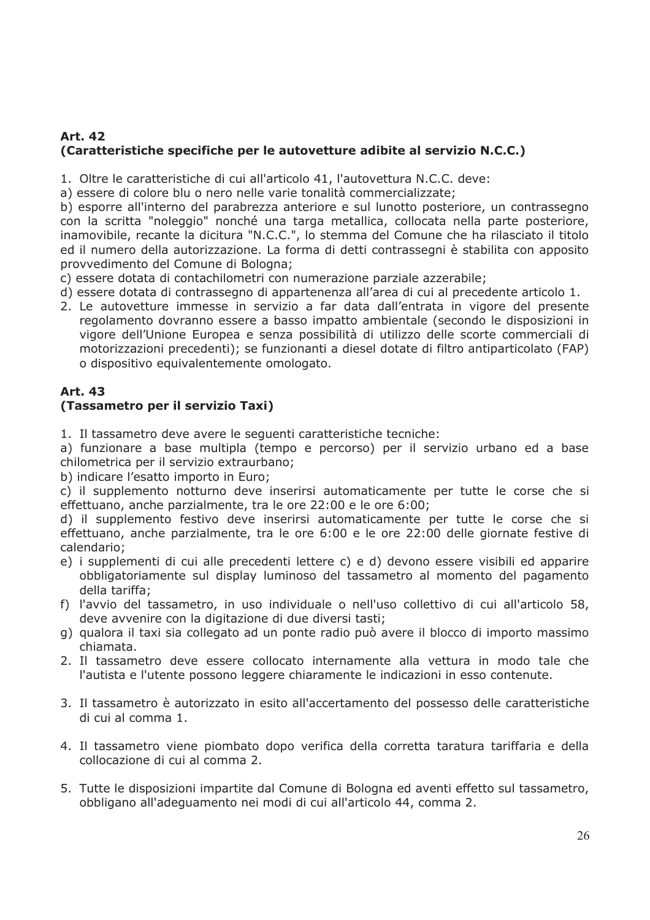### **Art. 42** (Caratteristiche specifiche per le autovetture adibite al servizio N.C.C.)

1. Oltre le caratteristiche di cui all'articolo 41, l'autovettura N.C.C. deve:

a) essere di colore blu o nero nelle varie tonalità commercializzate;

b) esporre all'interno del parabrezza anteriore e sul lunotto posteriore, un contrassegno con la scritta "noleggio" nonché una targa metallica, collocata nella parte posteriore, inamovibile, recante la dicitura "N.C.C.", lo stemma del Comune che ha rilasciato il titolo ed il numero della autorizzazione. La forma di detti contrassegni è stabilita con apposito provvedimento del Comune di Bologna;

- c) essere dotata di contachilometri con numerazione parziale azzerabile;
- d) essere dotata di contrassegno di appartenenza all'area di cui al precedente articolo 1.
- 2. Le autovetture immesse in servizio a far data dall'entrata in vigore del presente regolamento dovranno essere a basso impatto ambientale (secondo le disposizioni in vigore dell'Unione Europea e senza possibilità di utilizzo delle scorte commerciali di motorizzazioni precedenti); se funzionanti a diesel dotate di filtro antiparticolato (FAP) o dispositivo equivalentemente omologato.

#### **Art. 43** (Tassametro per il servizio Taxi)

1. Il tassametro deve avere le seguenti caratteristiche tecniche:

a) funzionare a base multipla (tempo e percorso) per il servizio urbano ed a base chilometrica per il servizio extraurbano;

b) indicare l'esatto importo in Euro;

c) il supplemento notturno deve inserirsi automaticamente per tutte le corse che si effettuano, anche parzialmente, tra le ore 22:00 e le ore 6:00;

d) il supplemento festivo deve inserirsi automaticamente per tutte le corse che si effettuano, anche parzialmente, tra le ore 6:00 e le ore 22:00 delle giornate festive di calendario:

- e) i supplementi di cui alle precedenti lettere c) e d) devono essere visibili ed apparire obbligatoriamente sul display luminoso del tassametro al momento del pagamento della tariffa;
- f) l'avvio del tassametro, in uso individuale o nell'uso collettivo di cui all'articolo 58, deve avvenire con la digitazione di due diversi tasti;
- g) qualora il taxi sia collegato ad un ponte radio può avere il blocco di importo massimo chiamata.
- 2. Il tassametro deve essere collocato internamente alla vettura in modo tale che l'autista e l'utente possono leggere chiaramente le indicazioni in esso contenute.
- 3. Il tassametro è autorizzato in esito all'accertamento del possesso delle caratteristiche di cui al comma 1.
- 4. Il tassametro viene piombato dopo verifica della corretta taratura tariffaria e della collocazione di cui al comma 2.
- 5. Tutte le disposizioni impartite dal Comune di Bologna ed aventi effetto sul tassametro, obbligano all'adeguamento nei modi di cui all'articolo 44, comma 2.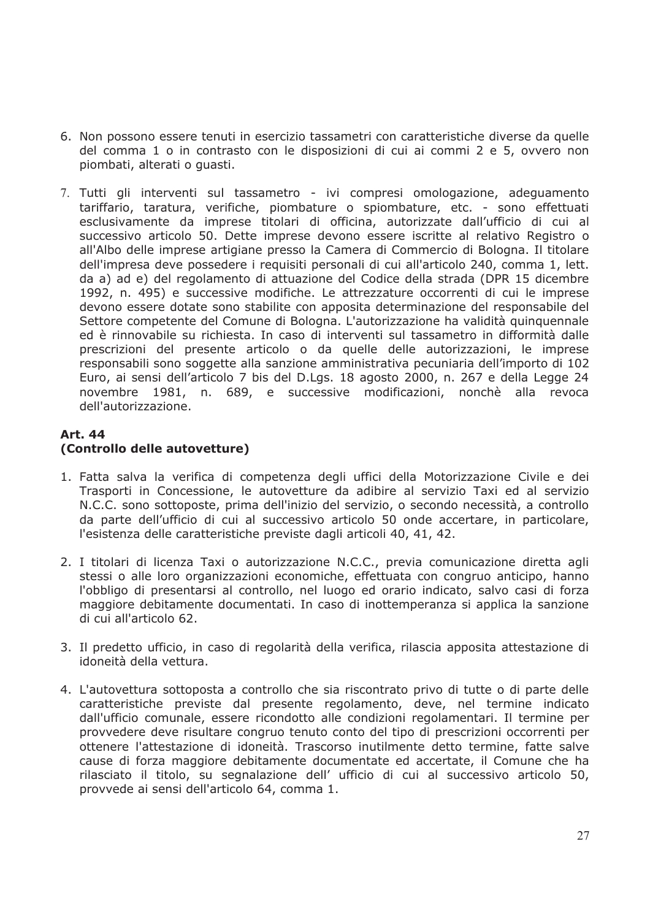- 6. Non possono essere tenuti in esercizio tassametri con caratteristiche diverse da quelle del comma 1 o in contrasto con le disposizioni di cui ai commi 2 e 5, ovvero non piombati, alterati o quasti.
- 7. Tutti gli interventi sul tassametro ivi compresi omologazione, adeguamento tariffario, taratura, verifiche, piombature o spiombature, etc. - sono effettuati esclusivamente da imprese titolari di officina, autorizzate dall'ufficio di cui al successivo articolo 50. Dette imprese devono essere iscritte al relativo Registro o all'Albo delle imprese artigiane presso la Camera di Commercio di Bologna. Il titolare dell'impresa deve possedere i requisiti personali di cui all'articolo 240, comma 1, lett. da a) ad e) del regolamento di attuazione del Codice della strada (DPR 15 dicembre 1992, n. 495) e successive modifiche. Le attrezzature occorrenti di cui le imprese devono essere dotate sono stabilite con apposita determinazione del responsabile del Settore competente del Comune di Bologna. L'autorizzazione ha validità guinguennale ed è rinnovabile su richiesta. In caso di interventi sul tassametro in difformità dalle prescrizioni del presente articolo o da quelle delle autorizzazioni, le imprese responsabili sono soggette alla sanzione amministrativa pecuniaria dell'importo di 102 Euro, ai sensi dell'articolo 7 bis del D.Lgs. 18 agosto 2000, n. 267 e della Legge 24 novembre 1981, n. 689, e successive modificazioni, nonchè alla revoca dell'autorizzazione.

#### **Art. 44** (Controllo delle autovetture)

- 1. Fatta salva la verifica di competenza degli uffici della Motorizzazione Civile e dei Trasporti in Concessione, le autovetture da adibire al servizio Taxi ed al servizio N.C.C. sono sottoposte, prima dell'inizio del servizio, o secondo necessità, a controllo da parte dell'ufficio di cui al successivo articolo 50 onde accertare, in particolare, l'esistenza delle caratteristiche previste dagli articoli 40, 41, 42.
- 2. I titolari di licenza Taxi o autorizzazione N.C.C., previa comunicazione diretta agli stessi o alle loro organizzazioni economiche, effettuata con congruo anticipo, hanno l'obbligo di presentarsi al controllo, nel luogo ed orario indicato, salvo casi di forza maggiore debitamente documentati. In caso di inottemperanza si applica la sanzione di cui all'articolo 62.
- 3. Il predetto ufficio, in caso di regolarità della verifica, rilascia apposita attestazione di idoneità della vettura.
- 4. L'autovettura sottoposta a controllo che sia riscontrato privo di tutte o di parte delle caratteristiche previste dal presente regolamento, deve, nel termine indicato dall'ufficio comunale, essere ricondotto alle condizioni regolamentari. Il termine per provvedere deve risultare congruo tenuto conto del tipo di prescrizioni occorrenti per ottenere l'attestazione di idoneità. Trascorso inutilmente detto termine, fatte salve cause di forza maggiore debitamente documentate ed accertate, il Comune che ha rilasciato il titolo, su segnalazione dell' ufficio di cui al successivo articolo 50, provvede ai sensi dell'articolo 64, comma 1.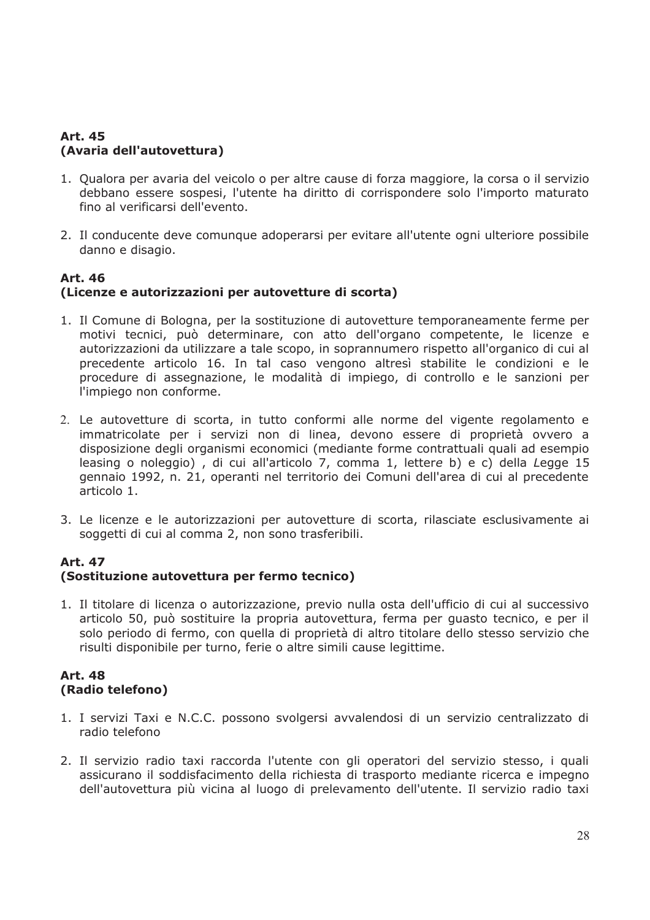# **Art. 45** (Avaria dell'autovettura)

- 1. Qualora per avaria del veicolo o per altre cause di forza maggiore, la corsa o il servizio debbano essere sospesi, l'utente ha diritto di corrispondere solo l'importo maturato fino al verificarsi dell'evento.
- 2. Il conducente deve comunque adoperarsi per evitare all'utente ogni ulteriore possibile danno e disagio.

### **Art. 46** (Licenze e autorizzazioni per autovetture di scorta)

- 1. Il Comune di Bologna, per la sostituzione di autovetture temporaneamente ferme per motivi tecnici, può determinare, con atto dell'organo competente, le licenze e autorizzazioni da utilizzare a tale scopo, in soprannumero rispetto all'organico di cui al precedente articolo 16. In tal caso vengono altresì stabilite le condizioni e le procedure di assegnazione, le modalità di impiego, di controllo e le sanzioni per l'impiego non conforme.
- 2. Le autovetture di scorta, in tutto conformi alle norme del vigente regolamento e immatricolate per i servizi non di linea, devono essere di proprietà ovvero a disposizione degli organismi economici (mediante forme contrattuali quali ad esempio leasing o noleggio), di cui all'articolo 7, comma 1, lettere b) e c) della Legge 15 gennaio 1992, n. 21, operanti nel territorio dei Comuni dell'area di cui al precedente articolo 1.
- 3. Le licenze e le autorizzazioni per autovetture di scorta, rilasciate esclusivamente ai soggetti di cui al comma 2, non sono trasferibili.

#### **Art. 47** (Sostituzione autovettura per fermo tecnico)

1. Il titolare di licenza o autorizzazione, previo nulla osta dell'ufficio di cui al successivo articolo 50, può sostituire la propria autovettura, ferma per quasto tecnico, e per il solo periodo di fermo, con quella di proprietà di altro titolare dello stesso servizio che risulti disponibile per turno, ferie o altre simili cause legittime.

### **Art. 48** (Radio telefono)

- 1. I servizi Taxi e N.C.C. possono svolgersi avvalendosi di un servizio centralizzato di radio telefono
- 2. Il servizio radio taxi raccorda l'utente con gli operatori del servizio stesso, i quali assicurano il soddisfacimento della richiesta di trasporto mediante ricerca e impegno dell'autovettura più vicina al luogo di prelevamento dell'utente. Il servizio radio taxi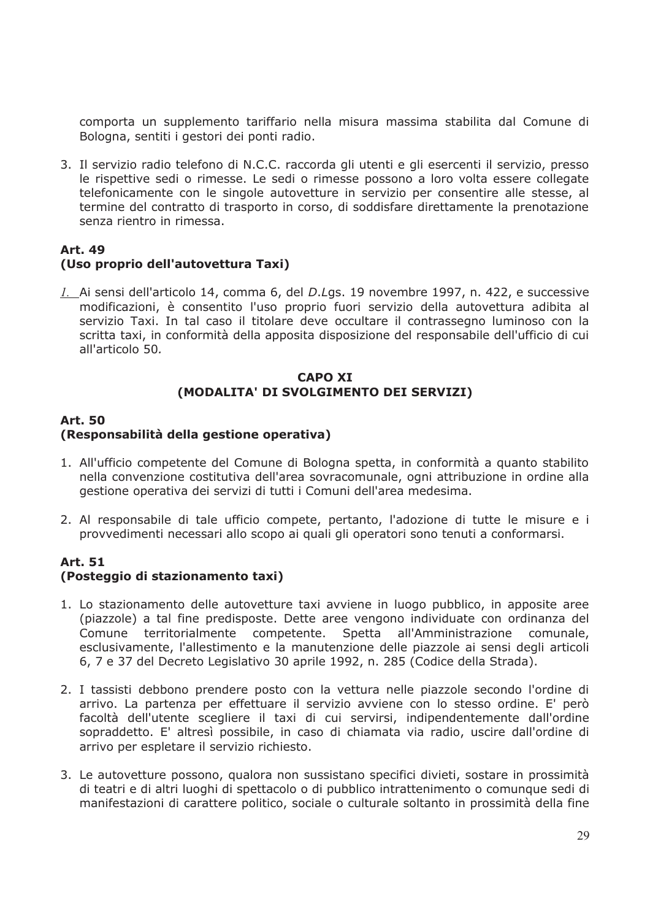comporta un supplemento tariffario nella misura massima stabilita dal Comune di Bologna, sentiti i gestori dei ponti radio.

3. Il servizio radio telefono di N.C.C. raccorda gli utenti e gli esercenti il servizio, presso le rispettive sedi o rimesse. Le sedi o rimesse possono a loro volta essere collegate telefonicamente con le singole autovetture in servizio per consentire alle stesse, al termine del contratto di trasporto in corso, di soddisfare direttamente la prenotazione senza rientro in rimessa.

## **Art. 49** (Uso proprio dell'autovettura Taxi)

1. Ai sensi dell'articolo 14, comma 6, del D.Lgs. 19 novembre 1997, n. 422, e successive modificazioni, è consentito l'uso proprio fuori servizio della autovettura adibita al servizio Taxi. In tal caso il titolare deve occultare il contrassegno luminoso con la scritta taxi, in conformità della apposita disposizione del responsabile dell'ufficio di cui all'articolo 50.

#### **CAPO XI** (MODALITA' DI SVOLGIMENTO DEI SERVIZI)

## **Art. 50** (Responsabilità della gestione operativa)

- 1. All'ufficio competente del Comune di Bologna spetta, in conformità a quanto stabilito nella convenzione costitutiva dell'area sovracomunale, ogni attribuzione in ordine alla gestione operativa dei servizi di tutti i Comuni dell'area medesima.
- 2. Al responsabile di tale ufficio compete, pertanto, l'adozione di tutte le misure e i provvedimenti necessari allo scopo ai quali gli operatori sono tenuti a conformarsi.

# **Art. 51**

# (Posteggio di stazionamento taxi)

- 1. Lo stazionamento delle autovetture taxi avviene in luogo pubblico, in apposite aree (piazzole) a tal fine predisposte. Dette aree vengono individuate con ordinanza del Comune territorialmente competente. Spetta all'Amministrazione comunale, esclusivamente, l'allestimento e la manutenzione delle piazzole ai sensi degli articoli 6, 7 e 37 del Decreto Legislativo 30 aprile 1992, n. 285 (Codice della Strada).
- 2. I tassisti debbono prendere posto con la vettura nelle piazzole secondo l'ordine di arrivo. La partenza per effettuare il servizio avviene con lo stesso ordine. E' però facoltà dell'utente scegliere il taxi di cui servirsi, indipendentemente dall'ordine sopraddetto. E' altresì possibile, in caso di chiamata via radio, uscire dall'ordine di arrivo per espletare il servizio richiesto.
- 3. Le autovetture possono, qualora non sussistano specifici divieti, sostare in prossimità di teatri e di altri luoghi di spettacolo o di pubblico intrattenimento o comunque sedi di manifestazioni di carattere politico, sociale o culturale soltanto in prossimità della fine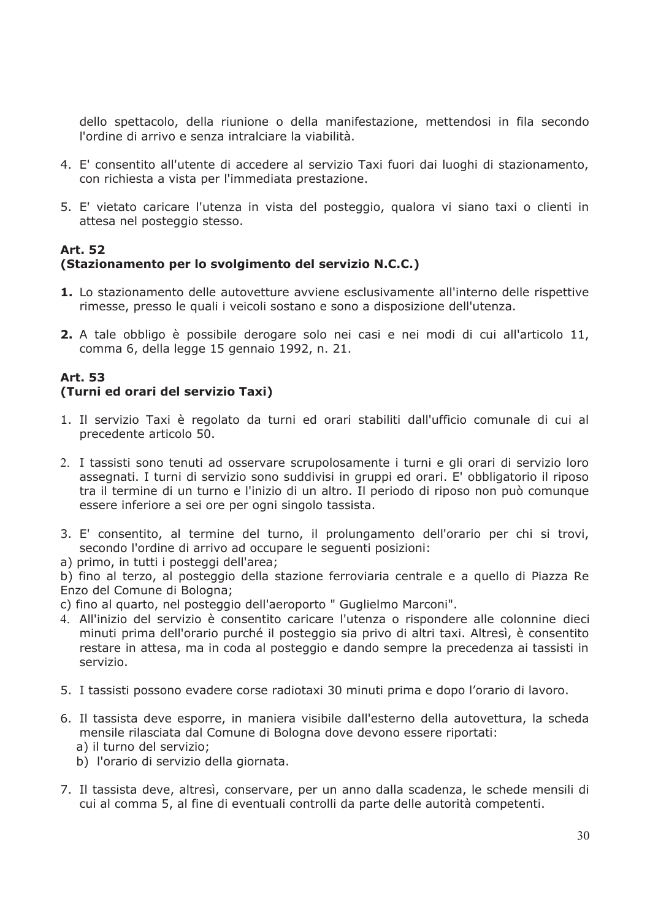dello spettacolo, della riunione o della manifestazione, mettendosi in fila secondo l'ordine di arrivo e senza intralciare la viabilità.

- 4. E' consentito all'utente di accedere al servizio Taxi fuori dai luoghi di stazionamento, con richiesta a vista per l'immediata prestazione.
- 5. E' vietato caricare l'utenza in vista del posteggio, qualora vi siano taxi o clienti in attesa nel posteggio stesso.

# **Art. 52** (Stazionamento per lo svolgimento del servizio N.C.C.)

- 1. Lo stazionamento delle autovetture avviene esclusivamente all'interno delle rispettive rimesse, presso le quali i veicoli sostano e sono a disposizione dell'utenza.
- 2. A tale obbligo è possibile derogare solo nei casi e nei modi di cui all'articolo 11, comma 6, della legge 15 gennaio 1992, n. 21.

#### **Art. 53** (Turni ed orari del servizio Taxi)

- 1. Il servizio Taxi è regolato da turni ed orari stabiliti dall'ufficio comunale di cui al precedente articolo 50.
- 2. I tassisti sono tenuti ad osservare scrupolosamente i turni e gli orari di servizio loro assegnati. I turni di servizio sono suddivisi in gruppi ed orari. E' obbligatorio il riposo tra il termine di un turno e l'inizio di un altro. Il periodo di riposo non può comunque essere inferiore a sei ore per ogni singolo tassista.
- 3. E' consentito, al termine del turno, il prolungamento dell'orario per chi si trovi, secondo l'ordine di arrivo ad occupare le sequenti posizioni:
- a) primo, in tutti i posteggi dell'area;

b) fino al terzo, al posteggio della stazione ferroviaria centrale e a quello di Piazza Re Enzo del Comune di Bologna;

- c) fino al quarto, nel posteggio dell'aeroporto " Guglielmo Marconi".
- 4. All'inizio del servizio è consentito caricare l'utenza o rispondere alle colonnine dieci minuti prima dell'orario purché il posteggio sia privo di altri taxi. Altresì, è consentito restare in attesa, ma in coda al posteggio e dando sempre la precedenza ai tassisti in servizio.
- 5. I tassisti possono evadere corse radiotaxi 30 minuti prima e dopo l'orario di lavoro.
- 6. Il tassista deve esporre, in maniera visibile dall'esterno della autovettura, la scheda mensile rilasciata dal Comune di Bologna dove devono essere riportati:
	- a) il turno del servizio;
	- b) l'orario di servizio della giornata.
- 7. Il tassista deve, altresì, conservare, per un anno dalla scadenza, le schede mensili di cui al comma 5, al fine di eventuali controlli da parte delle autorità competenti.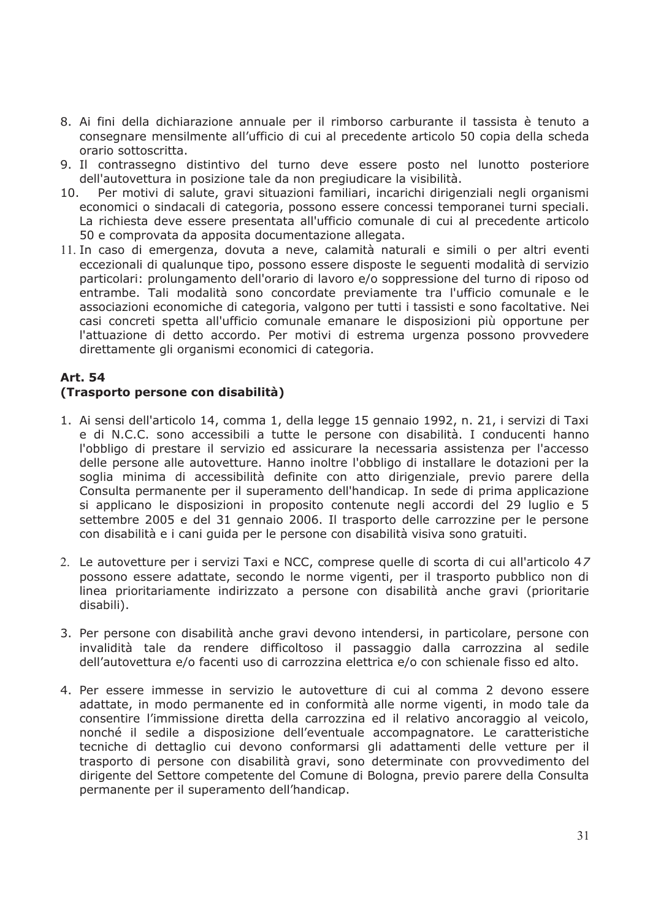- 8. Ai fini della dichiarazione annuale per il rimborso carburante il tassista è tenuto a consegnare mensilmente all'ufficio di cui al precedente articolo 50 copia della scheda orario sottoscritta.
- 9. Il contrassegno distintivo del turno deve essere posto nel lunotto posteriore dell'autovettura in posizione tale da non pregiudicare la visibilità.
- Per motivi di salute, gravi situazioni familiari, incarichi dirigenziali negli organismi  $10.$ economici o sindacali di categoria, possono essere concessi temporanei turni speciali. La richiesta deve essere presentata all'ufficio comunale di cui al precedente articolo 50 e comprovata da apposita documentazione allegata.
- 11. In caso di emergenza, dovuta a neve, calamità naturali e simili o per altri eventi eccezionali di qualunque tipo, possono essere disposte le seguenti modalità di servizio particolari: prolungamento dell'orario di lavoro e/o soppressione del turno di riposo od entrambe. Tali modalità sono concordate previamente tra l'ufficio comunale e le associazioni economiche di categoria, valgono per tutti i tassisti e sono facoltative. Nei casi concreti spetta all'ufficio comunale emanare le disposizioni più opportune per l'attuazione di detto accordo. Per motivi di estrema urgenza possono provvedere direttamente gli organismi economici di categoria.

# **Art. 54**

# (Trasporto persone con disabilità)

- 1. Ai sensi dell'articolo 14, comma 1, della legge 15 gennaio 1992, n. 21, i servizi di Taxi e di N.C.C. sono accessibili a tutte le persone con disabilità. I conducenti hanno l'obbligo di prestare il servizio ed assicurare la necessaria assistenza per l'accesso delle persone alle autovetture. Hanno inoltre l'obbligo di installare le dotazioni per la soglia minima di accessibilità definite con atto dirigenziale, previo parere della Consulta permanente per il superamento dell'handicap. In sede di prima applicazione si applicano le disposizioni in proposito contenute negli accordi del 29 luglio e 5 settembre 2005 e del 31 gennaio 2006. Il trasporto delle carrozzine per le persone con disabilità e i cani quida per le persone con disabilità visiva sono gratuiti.
- 2. Le autovetture per i servizi Taxi e NCC, comprese quelle di scorta di cui all'articolo 47 possono essere adattate, secondo le norme vigenti, per il trasporto pubblico non di linea prioritariamente indirizzato a persone con disabilità anche gravi (prioritarie disabili).
- 3. Per persone con disabilità anche gravi devono intendersi, in particolare, persone con invalidità tale da rendere difficoltoso il passaggio dalla carrozzina al sedile dell'autovettura e/o facenti uso di carrozzina elettrica e/o con schienale fisso ed alto.
- 4. Per essere immesse in servizio le autovetture di cui al comma 2 devono essere adattate, in modo permanente ed in conformità alle norme vigenti, in modo tale da consentire l'immissione diretta della carrozzina ed il relativo ancoraggio al veicolo, nonché il sedile a disposizione dell'eventuale accompagnatore. Le caratteristiche tecniche di dettaglio cui devono conformarsi gli adattamenti delle vetture per il trasporto di persone con disabilità gravi, sono determinate con provvedimento del dirigente del Settore competente del Comune di Bologna, previo parere della Consulta permanente per il superamento dell'handicap.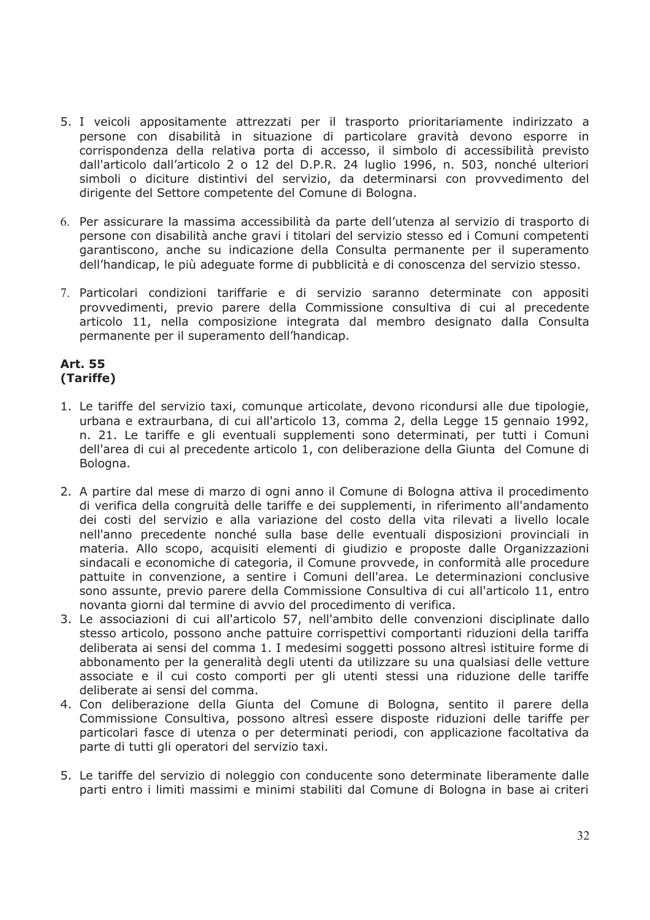- 5. I veicoli appositamente attrezzati per il trasporto prioritariamente indirizzato a persone con disabilità in situazione di particolare gravità devono esporre in corrispondenza della relativa porta di accesso, il simbolo di accessibilità previsto dall'articolo dall'articolo 2 o 12 del D.P.R. 24 luglio 1996, n. 503, nonché ulteriori simboli o diciture distintivi del servizio, da determinarsi con provvedimento del dirigente del Settore competente del Comune di Bologna.
- 6. Per assicurare la massima accessibilità da parte dell'utenza al servizio di trasporto di persone con disabilità anche gravi i titolari del servizio stesso ed i Comuni competenti garantiscono, anche su indicazione della Consulta permanente per il superamento dell'handicap, le più adeguate forme di pubblicità e di conoscenza del servizio stesso.
- 7. Particolari condizioni tariffarie e di servizio saranno determinate con appositi provvedimenti, previo parere della Commissione consultiva di cui al precedente articolo 11, nella composizione integrata dal membro designato dalla Consulta permanente per il superamento dell'handicap.

### **Art. 55** (Tariffe)

- 1. Le tariffe del servizio taxi, comunque articolate, devono ricondursi alle due tipologie, urbana e extraurbana, di cui all'articolo 13, comma 2, della Legge 15 gennaio 1992, n. 21. Le tariffe e gli eventuali supplementi sono determinati, per tutti i Comuni dell'area di cui al precedente articolo 1, con deliberazione della Giunta del Comune di Bologna.
- 2. A partire dal mese di marzo di ogni anno il Comune di Bologna attiva il procedimento di verifica della congruità delle tariffe e dei supplementi, in riferimento all'andamento dei costi del servizio e alla variazione del costo della vita rilevati a livello locale nell'anno precedente nonché sulla base delle eventuali disposizioni provinciali in materia. Allo scopo, acquisiti elementi di giudizio e proposte dalle Organizzazioni sindacali e economiche di categoria, il Comune provvede, in conformità alle procedure pattuite in convenzione, a sentire i Comuni dell'area. Le determinazioni conclusive sono assunte, previo parere della Commissione Consultiva di cui all'articolo 11, entro novanta giorni dal termine di avvio del procedimento di verifica.
- 3. Le associazioni di cui all'articolo 57, nell'ambito delle convenzioni disciplinate dallo stesso articolo, possono anche pattuire corrispettivi comportanti riduzioni della tariffa deliberata ai sensi del comma 1. I medesimi soggetti possono altresì istituire forme di abbonamento per la generalità degli utenti da utilizzare su una qualsiasi delle vetture associate e il cui costo comporti per gli utenti stessi una riduzione delle tariffe deliberate ai sensi del comma.
- 4. Con deliberazione della Giunta del Comune di Bologna, sentito il parere della Commissione Consultiva, possono altresì essere disposte riduzioni delle tariffe per particolari fasce di utenza o per determinati periodi, con applicazione facoltativa da parte di tutti gli operatori del servizio taxi.
- 5. Le tariffe del servizio di noleggio con conducente sono determinate liberamente dalle parti entro i limiti massimi e minimi stabiliti dal Comune di Bologna in base ai criteri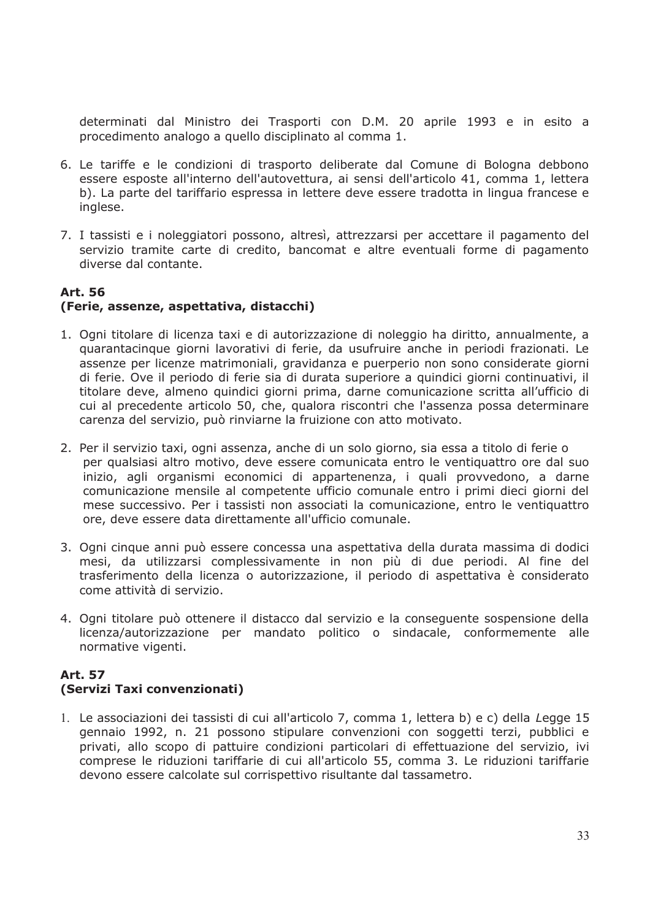determinati dal Ministro dei Trasporti con D.M. 20 aprile 1993 e in esito a procedimento analogo a quello disciplinato al comma 1.

- 6. Le tariffe e le condizioni di trasporto deliberate dal Comune di Bologna debbono essere esposte all'interno dell'autovettura, ai sensi dell'articolo 41, comma 1, lettera b). La parte del tariffario espressa in lettere deve essere tradotta in lingua francese e inglese.
- 7. I tassisti e i noleggiatori possono, altresì, attrezzarsi per accettare il pagamento del servizio tramite carte di credito, bancomat e altre eventuali forme di pagamento diverse dal contante.

#### **Art. 56** (Ferie, assenze, aspettativa, distacchi)

- 1. Ogni titolare di licenza taxi e di autorizzazione di noleggio ha diritto, annualmente, a quarantacinque giorni lavorativi di ferie, da usufruire anche in periodi frazionati. Le assenze per licenze matrimoniali, gravidanza e puerperio non sono considerate giorni di ferie. Ove il periodo di ferie sia di durata superiore a quindici giorni continuativi, il titolare deve, almeno quindici giorni prima, darne comunicazione scritta all'ufficio di cui al precedente articolo 50, che, qualora riscontri che l'assenza possa determinare carenza del servizio, può rinviarne la fruizione con atto motivato.
- 2. Per il servizio taxi, ogni assenza, anche di un solo giorno, sia essa a titolo di ferie o per qualsiasi altro motivo, deve essere comunicata entro le ventiquattro ore dal suo inizio, agli organismi economici di appartenenza, i quali provvedono, a darne comunicazione mensile al competente ufficio comunale entro i primi dieci giorni del mese successivo. Per i tassisti non associati la comunicazione, entro le ventiquattro ore, deve essere data direttamente all'ufficio comunale.
- 3. Ogni cinque anni può essere concessa una aspettativa della durata massima di dodici mesi, da utilizzarsi complessivamente in non più di due periodi. Al fine del trasferimento della licenza o autorizzazione, il periodo di aspettativa è considerato come attività di servizio.
- 4. Ogni titolare può ottenere il distacco dal servizio e la conseguente sospensione della licenza/autorizzazione per mandato politico o sindacale, conformemente alle normative vigenti.

# **Art. 57**

# (Servizi Taxi convenzionati)

1. Le associazioni dei tassisti di cui all'articolo 7, comma 1, lettera b) e c) della Legge 15 gennaio 1992, n. 21 possono stipulare convenzioni con soggetti terzi, pubblici e privati, allo scopo di pattuire condizioni particolari di effettuazione del servizio, ivi comprese le riduzioni tariffarie di cui all'articolo 55, comma 3. Le riduzioni tariffarie devono essere calcolate sul corrispettivo risultante dal tassametro.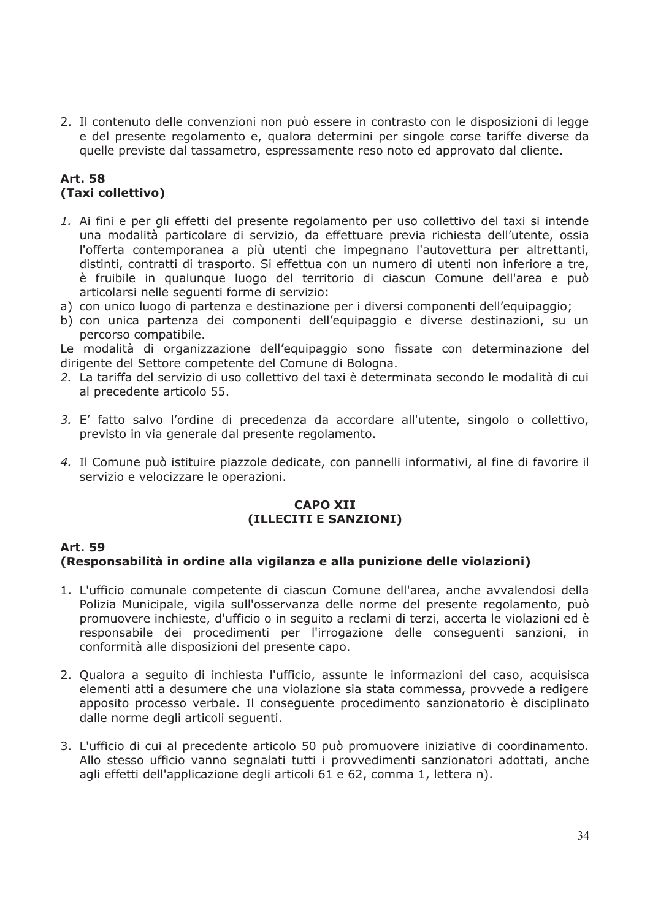2. Il contenuto delle convenzioni non può essere in contrasto con le disposizioni di legge e del presente regolamento e, qualora determini per singole corse tariffe diverse da quelle previste dal tassametro, espressamente reso noto ed approvato dal cliente.

### **Art. 58** (Taxi collettivo)

- 1. Ai fini e per gli effetti del presente regolamento per uso collettivo del taxi si intende una modalità particolare di servizio, da effettuare previa richiesta dell'utente, ossia l'offerta contemporanea a più utenti che impegnano l'autovettura per altrettanti, distinti, contratti di trasporto. Si effettua con un numero di utenti non inferiore a tre, è fruibile in qualunque luogo del territorio di ciascun Comune dell'area e può articolarsi nelle sequenti forme di servizio:
- a) con unico luogo di partenza e destinazione per i diversi componenti dell'equipaggio:
- b) con unica partenza dei componenti dell'equipaggio e diverse destinazioni, su un percorso compatibile.

Le modalità di organizzazione dell'equipaggio sono fissate con determinazione del dirigente del Settore competente del Comune di Bologna.

- 2. La tariffa del servizio di uso collettivo del taxi è determinata secondo le modalità di cui al precedente articolo 55.
- 3. E' fatto salvo l'ordine di precedenza da accordare all'utente, singolo o collettivo, previsto in via generale dal presente regolamento.
- 4. Il Comune può istituire piazzole dedicate, con pannelli informativi, al fine di favorire il servizio e velocizzare le operazioni.

#### **CAPO XII** (ILLECITI E SANZIONI)

#### **Art 59** (Responsabilità in ordine alla vigilanza e alla punizione delle violazioni)

- 1. L'ufficio comunale competente di ciascun Comune dell'area, anche avvalendosi della Polizia Municipale, vigila sull'osservanza delle norme del presente regolamento, può promuovere inchieste, d'ufficio o in sequito a reclami di terzi, accerta le violazioni ed è responsabile dei procedimenti per l'irrogazione delle consequenti sanzioni, in conformità alle disposizioni del presente capo.
- 2. Qualora a seguito di inchiesta l'ufficio, assunte le informazioni del caso, acquisisca elementi atti a desumere che una violazione sia stata commessa, provvede a redigere apposito processo verbale. Il consequente procedimento sanzionatorio è disciplinato dalle norme degli articoli seguenti.
- 3. L'ufficio di cui al precedente articolo 50 può promuovere iniziative di coordinamento. Allo stesso ufficio vanno segnalati tutti i provvedimenti sanzionatori adottati, anche agli effetti dell'applicazione degli articoli 61 e 62, comma 1, lettera n).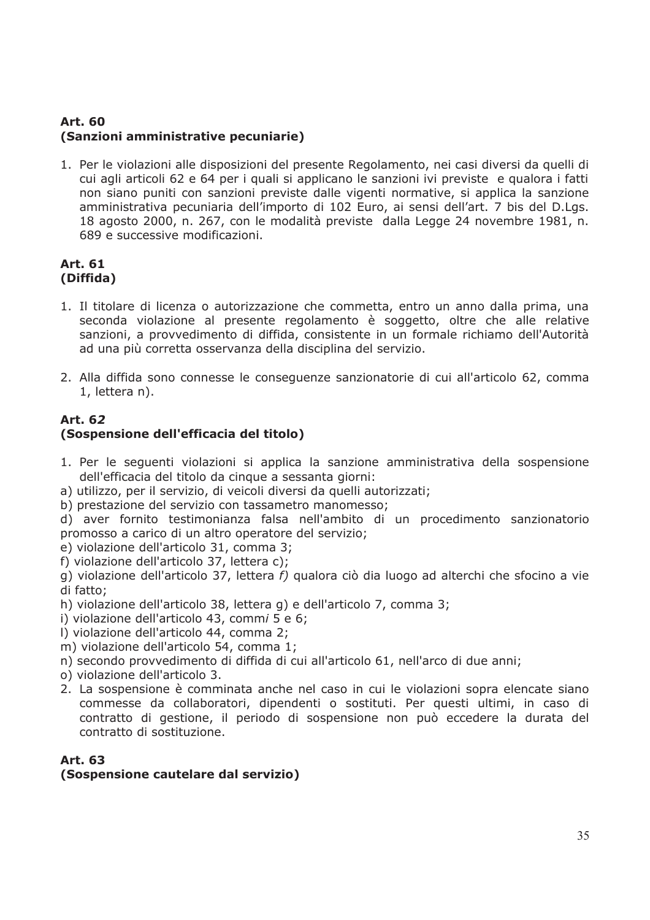# **Art. 60** (Sanzioni amministrative pecuniarie)

1. Per le violazioni alle disposizioni del presente Regolamento, nei casi diversi da quelli di cui agli articoli 62 e 64 per i quali si applicano le sanzioni ivi previste e qualora i fatti non siano puniti con sanzioni previste dalle vigenti normative, si applica la sanzione amministrativa pecuniaria dell'importo di 102 Euro, ai sensi dell'art. 7 bis del D.Lgs. 18 agosto 2000, n. 267, con le modalità previste dalla Legge 24 novembre 1981, n. 689 e successive modificazioni.

### **Art. 61** (Diffida)

- 1. Il titolare di licenza o autorizzazione che commetta, entro un anno dalla prima, una seconda violazione al presente regolamento è soggetto, oltre che alle relative sanzioni, a provvedimento di diffida, consistente in un formale richiamo dell'Autorità ad una più corretta osservanza della disciplina del servizio.
- 2. Alla diffida sono connesse le conseguenze sanzionatorie di cui all'articolo 62, comma 1, lettera n).

# Art. 62

# (Sospensione dell'efficacia del titolo)

- 1. Per le sequenti violazioni si applica la sanzione amministrativa della sospensione dell'efficacia del titolo da cinque a sessanta giorni:
- a) utilizzo, per il servizio, di veicoli diversi da quelli autorizzati;
- b) prestazione del servizio con tassametro manomesso;
- d) aver fornito testimonianza falsa nell'ambito di un procedimento sanzionatorio promosso a carico di un altro operatore del servizio;
- e) violazione dell'articolo 31, comma 3;
- f) violazione dell'articolo 37, lettera c);
- g) violazione dell'articolo 37, lettera f) qualora ciò dia luogo ad alterchi che sfocino a vie di fatto;
- h) violazione dell'articolo 38, lettera q) e dell'articolo 7, comma 3;
- i) violazione dell'articolo 43, commi 5 e 6;
- I) violazione dell'articolo 44, comma 2;
- m) violazione dell'articolo 54, comma 1;
- n) secondo provvedimento di diffida di cui all'articolo 61, nell'arco di due anni;
- o) violazione dell'articolo 3.
- 2. La sospensione è comminata anche nel caso in cui le violazioni sopra elencate siano commesse da collaboratori, dipendenti o sostituti. Per questi ultimi, in caso di contratto di gestione, il periodo di sospensione non può eccedere la durata del contratto di sostituzione.

#### Art. 63

### (Sospensione cautelare dal servizio)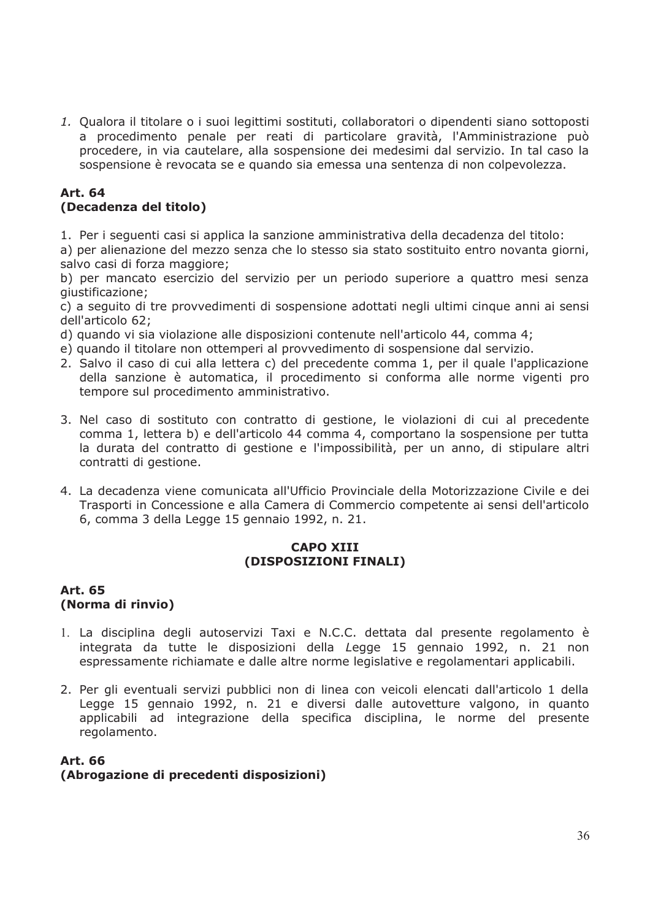1. Qualora il titolare o i suoi legittimi sostituti, collaboratori o dipendenti siano sottoposti a procedimento penale per reati di particolare gravità, l'Amministrazione può procedere, in via cautelare, alla sospensione dei medesimi dal servizio. In tal caso la sospensione è revocata se e quando sia emessa una sentenza di non colpevolezza.

#### **Art. 64** (Decadenza del titolo)

1. Per i seguenti casi si applica la sanzione amministrativa della decadenza del titolo:

a) per alienazione del mezzo senza che lo stesso sia stato sostituito entro novanta giorni, salvo casi di forza maggiore;

b) per mancato esercizio del servizio per un periodo superiore a quattro mesi senza qiustificazione;

c) a seguito di tre provvedimenti di sospensione adottati negli ultimi cinque anni ai sensi dell'articolo 62:

d) quando vi sia violazione alle disposizioni contenute nell'articolo 44, comma 4;

- e) quando il titolare non ottemperi al provvedimento di sospensione dal servizio.
- 2. Salvo il caso di cui alla lettera c) del precedente comma 1, per il quale l'applicazione della sanzione è automatica, il procedimento si conforma alle norme vigenti pro tempore sul procedimento amministrativo.
- 3. Nel caso di sostituto con contratto di gestione, le violazioni di cui al precedente comma 1, lettera b) e dell'articolo 44 comma 4, comportano la sospensione per tutta la durata del contratto di gestione e l'impossibilità, per un anno, di stipulare altri contratti di gestione.
- 4. La decadenza viene comunicata all'Ufficio Provinciale della Motorizzazione Civile e dei Trasporti in Concessione e alla Camera di Commercio competente ai sensi dell'articolo 6, comma 3 della Legge 15 gennaio 1992, n. 21.

#### **CAPO XIII** (DISPOSIZIONI FINALI)

#### Art. 65 (Norma di rinvio)

- 1. La disciplina degli autoservizi Taxi e N.C.C. dettata dal presente regolamento è integrata da tutte le disposizioni della Legge 15 gennaio 1992, n. 21 non espressamente richiamate e dalle altre norme legislative e regolamentari applicabili.
- 2. Per gli eventuali servizi pubblici non di linea con veicoli elencati dall'articolo 1 della Legge 15 gennaio 1992, n. 21 e diversi dalle autovetture valgono, in quanto applicabili ad integrazione della specifica disciplina, le norme del presente regolamento.

### **Art. 66** (Abrogazione di precedenti disposizioni)